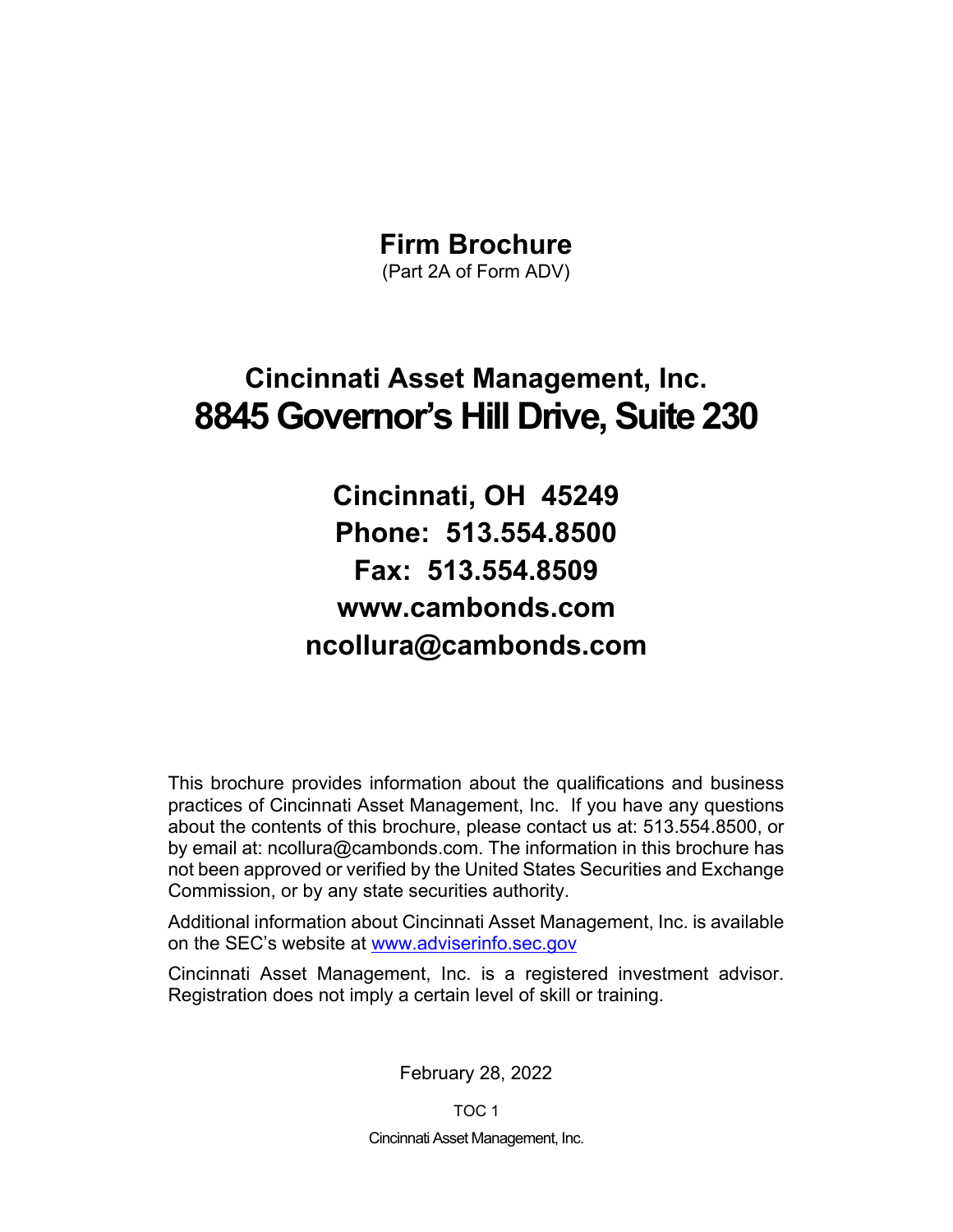## **Firm Brochure**

(Part 2A of Form ADV)

# **Cincinnati Asset Management, Inc. 8845 Governor's Hill Drive, Suite 230**

**Cincinnati, OH 45249 Phone: 513.554.8500 Fax: 513.554.8509 www.cambonds.com ncollura@cambonds.com** 

This brochure provides information about the qualifications and business practices of Cincinnati Asset Management, Inc. If you have any questions about the contents of this brochure, please contact us at: 513.554.8500, or by email at: ncollura@cambonds.com. The information in this brochure has not been approved or verified by the United States Securities and Exchange Commission, or by any state securities authority.

Additional information about Cincinnati Asset Management, Inc. is available on the SEC's website at www.adviserinfo.sec.gov

Cincinnati Asset Management, Inc. is a registered investment advisor. Registration does not imply a certain level of skill or training.

February 28, 2022

TOC 1 Cincinnati Asset Management, Inc.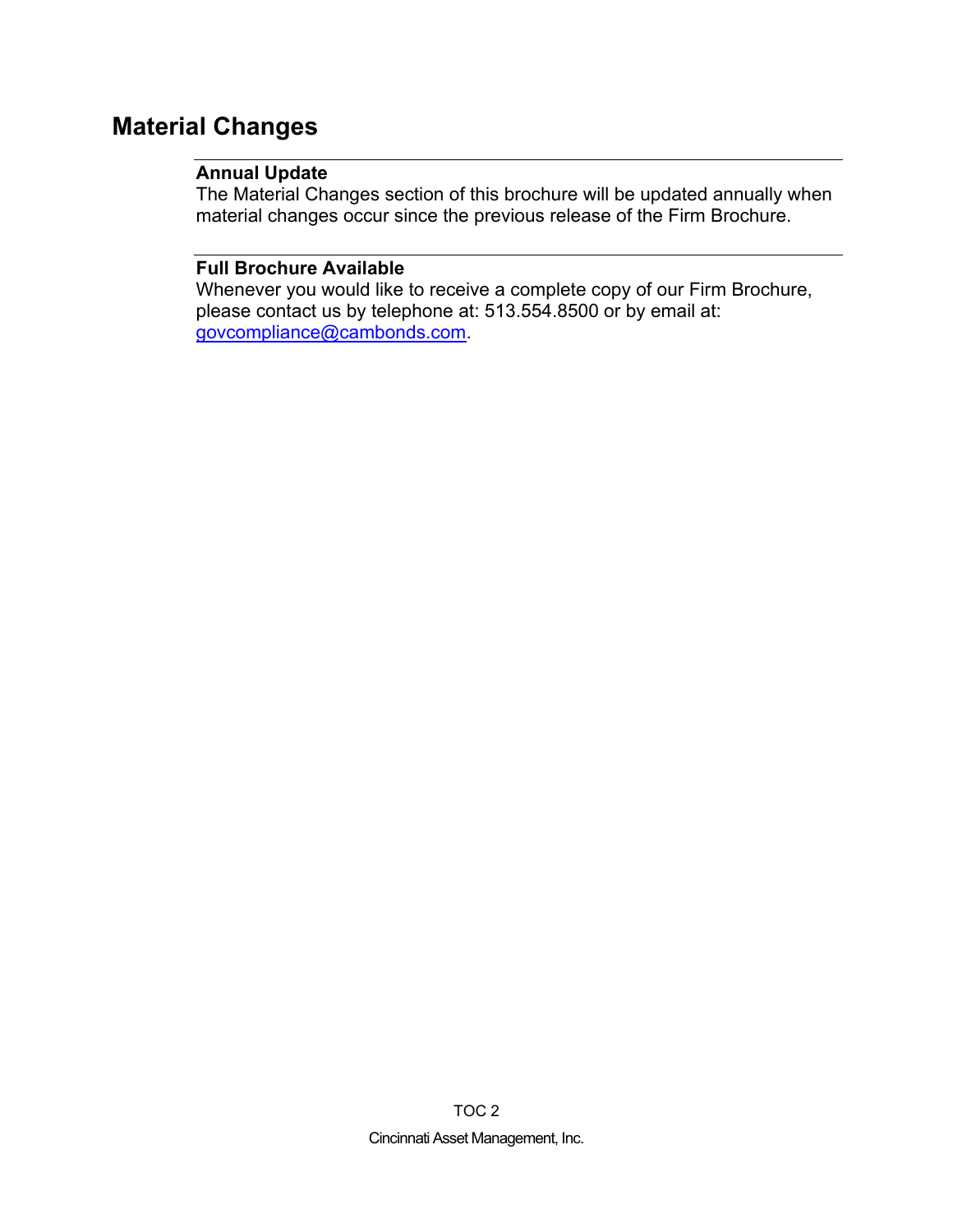## **Material Changes**

## **Annual Update**

The Material Changes section of this brochure will be updated annually when material changes occur since the previous release of the Firm Brochure.

## **Full Brochure Available**

Whenever you would like to receive a complete copy of our Firm Brochure, please contact us by telephone at: 513.554.8500 or by email at: govcompliance@cambonds.com.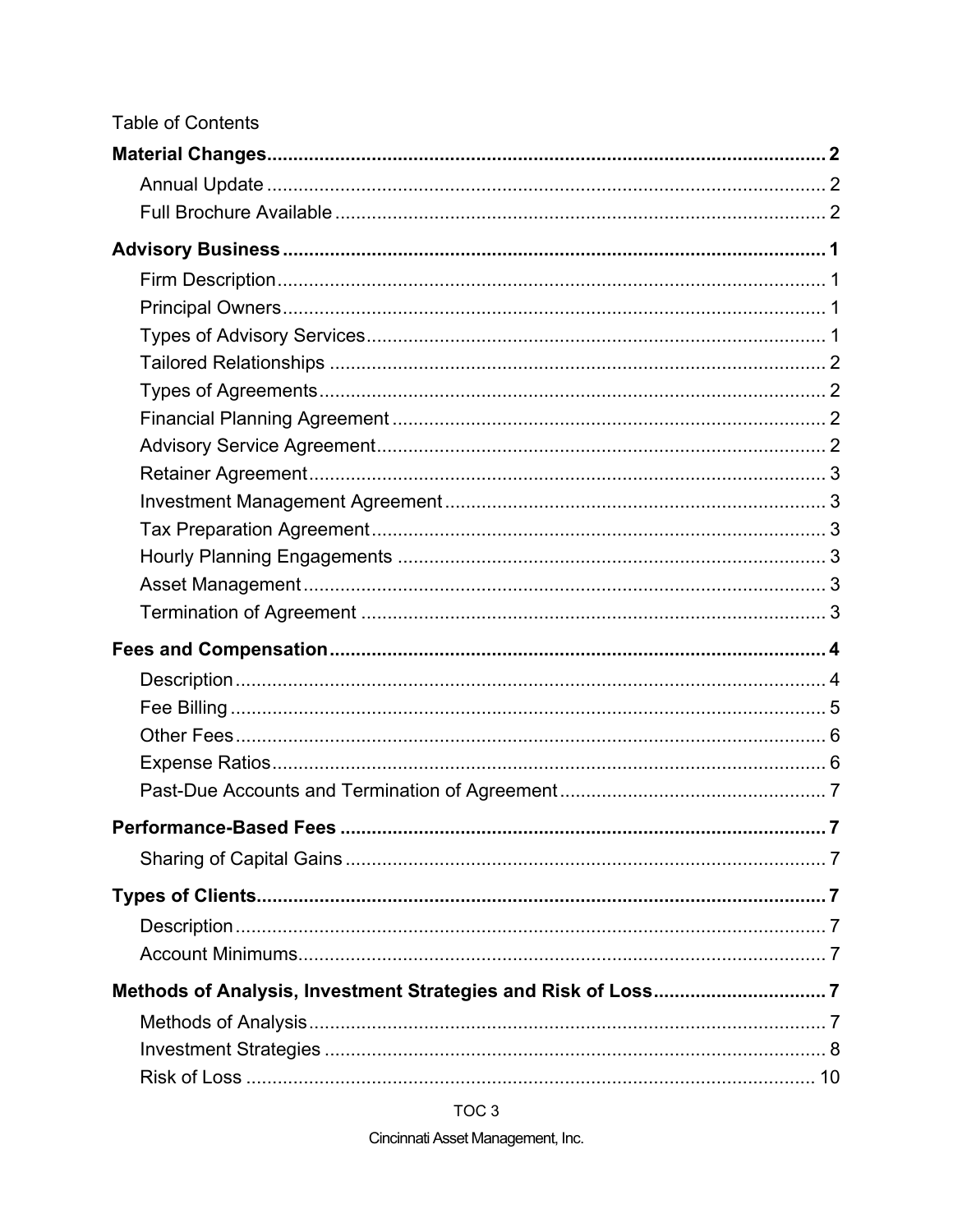| <b>Table of Contents</b> |  |
|--------------------------|--|
|                          |  |
|                          |  |
|                          |  |
|                          |  |
|                          |  |
|                          |  |
|                          |  |
|                          |  |
|                          |  |
|                          |  |
|                          |  |
|                          |  |
|                          |  |
|                          |  |
|                          |  |
|                          |  |
|                          |  |
|                          |  |
|                          |  |
|                          |  |
|                          |  |
|                          |  |
|                          |  |
|                          |  |
|                          |  |
|                          |  |
|                          |  |
|                          |  |
|                          |  |
|                          |  |
|                          |  |
|                          |  |

TOC<sub>3</sub>

Cincinnati Asset Management, Inc.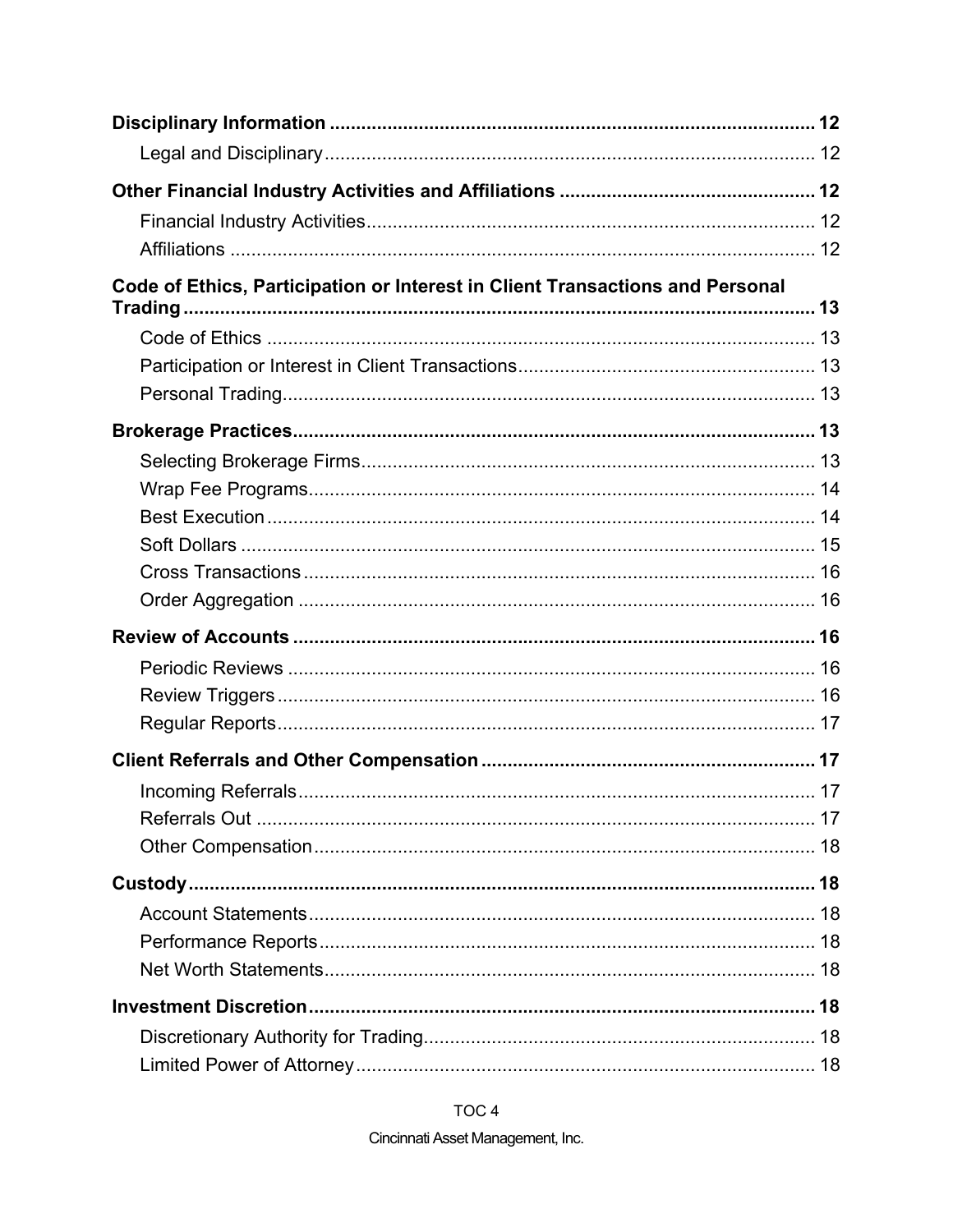| Code of Ethics, Participation or Interest in Client Transactions and Personal |  |
|-------------------------------------------------------------------------------|--|
|                                                                               |  |
|                                                                               |  |
|                                                                               |  |
|                                                                               |  |
|                                                                               |  |
|                                                                               |  |
|                                                                               |  |
|                                                                               |  |
|                                                                               |  |
|                                                                               |  |
|                                                                               |  |
|                                                                               |  |
|                                                                               |  |
|                                                                               |  |
|                                                                               |  |
|                                                                               |  |
|                                                                               |  |
|                                                                               |  |
|                                                                               |  |
|                                                                               |  |
|                                                                               |  |
|                                                                               |  |
|                                                                               |  |
|                                                                               |  |
|                                                                               |  |
|                                                                               |  |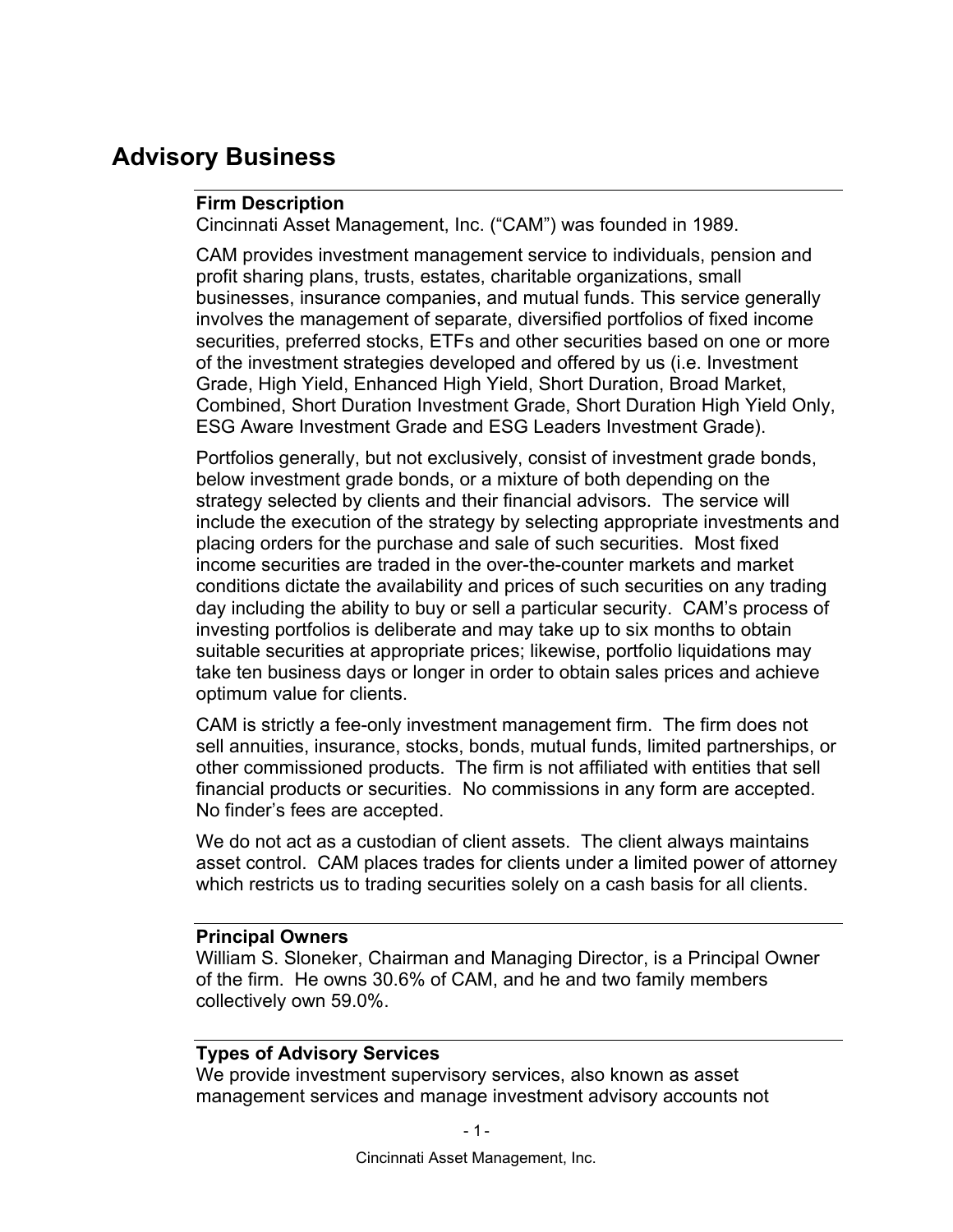## **Advisory Business**

## **Firm Description**

Cincinnati Asset Management, Inc. ("CAM") was founded in 1989.

CAM provides investment management service to individuals, pension and profit sharing plans, trusts, estates, charitable organizations, small businesses, insurance companies, and mutual funds. This service generally involves the management of separate, diversified portfolios of fixed income securities, preferred stocks, ETFs and other securities based on one or more of the investment strategies developed and offered by us (i.e. Investment Grade, High Yield, Enhanced High Yield, Short Duration, Broad Market, Combined, Short Duration Investment Grade, Short Duration High Yield Only, ESG Aware Investment Grade and ESG Leaders Investment Grade).

Portfolios generally, but not exclusively, consist of investment grade bonds, below investment grade bonds, or a mixture of both depending on the strategy selected by clients and their financial advisors. The service will include the execution of the strategy by selecting appropriate investments and placing orders for the purchase and sale of such securities. Most fixed income securities are traded in the over-the-counter markets and market conditions dictate the availability and prices of such securities on any trading day including the ability to buy or sell a particular security. CAM's process of investing portfolios is deliberate and may take up to six months to obtain suitable securities at appropriate prices; likewise, portfolio liquidations may take ten business days or longer in order to obtain sales prices and achieve optimum value for clients.

CAM is strictly a fee-only investment management firm. The firm does not sell annuities, insurance, stocks, bonds, mutual funds, limited partnerships, or other commissioned products. The firm is not affiliated with entities that sell financial products or securities. No commissions in any form are accepted. No finder's fees are accepted.

We do not act as a custodian of client assets. The client always maintains asset control. CAM places trades for clients under a limited power of attorney which restricts us to trading securities solely on a cash basis for all clients.

## **Principal Owners**

William S. Sloneker, Chairman and Managing Director, is a Principal Owner of the firm. He owns 30.6% of CAM, and he and two family members collectively own 59.0%.

## **Types of Advisory Services**

We provide investment supervisory services, also known as asset management services and manage investment advisory accounts not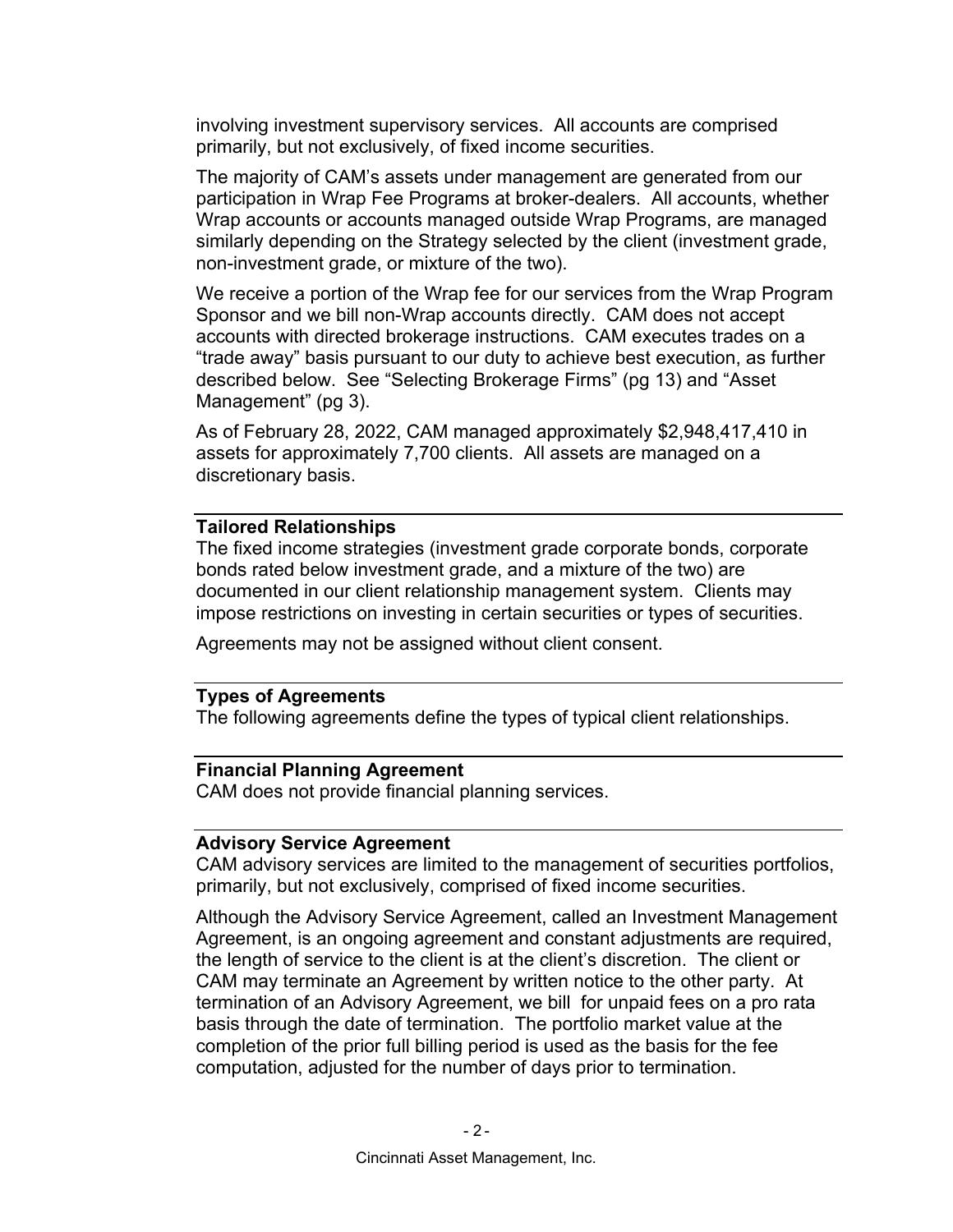involving investment supervisory services. All accounts are comprised primarily, but not exclusively, of fixed income securities.

The majority of CAM's assets under management are generated from our participation in Wrap Fee Programs at broker-dealers. All accounts, whether Wrap accounts or accounts managed outside Wrap Programs, are managed similarly depending on the Strategy selected by the client (investment grade, non-investment grade, or mixture of the two).

We receive a portion of the Wrap fee for our services from the Wrap Program Sponsor and we bill non-Wrap accounts directly. CAM does not accept accounts with directed brokerage instructions. CAM executes trades on a "trade away" basis pursuant to our duty to achieve best execution, as further described below. See "Selecting Brokerage Firms" (pg 13) and "Asset Management" (pg 3).

As of February 28, 2022, CAM managed approximately \$2,948,417,410 in assets for approximately 7,700 clients. All assets are managed on a discretionary basis.

#### **Tailored Relationships**

The fixed income strategies (investment grade corporate bonds, corporate bonds rated below investment grade, and a mixture of the two) are documented in our client relationship management system. Clients may impose restrictions on investing in certain securities or types of securities.

Agreements may not be assigned without client consent.

### **Types of Agreements**

The following agreements define the types of typical client relationships.

### **Financial Planning Agreement**

CAM does not provide financial planning services.

#### **Advisory Service Agreement**

CAM advisory services are limited to the management of securities portfolios, primarily, but not exclusively, comprised of fixed income securities.

Although the Advisory Service Agreement, called an Investment Management Agreement, is an ongoing agreement and constant adjustments are required, the length of service to the client is at the client's discretion. The client or CAM may terminate an Agreement by written notice to the other party. At termination of an Advisory Agreement, we bill for unpaid fees on a pro rata basis through the date of termination. The portfolio market value at the completion of the prior full billing period is used as the basis for the fee computation, adjusted for the number of days prior to termination.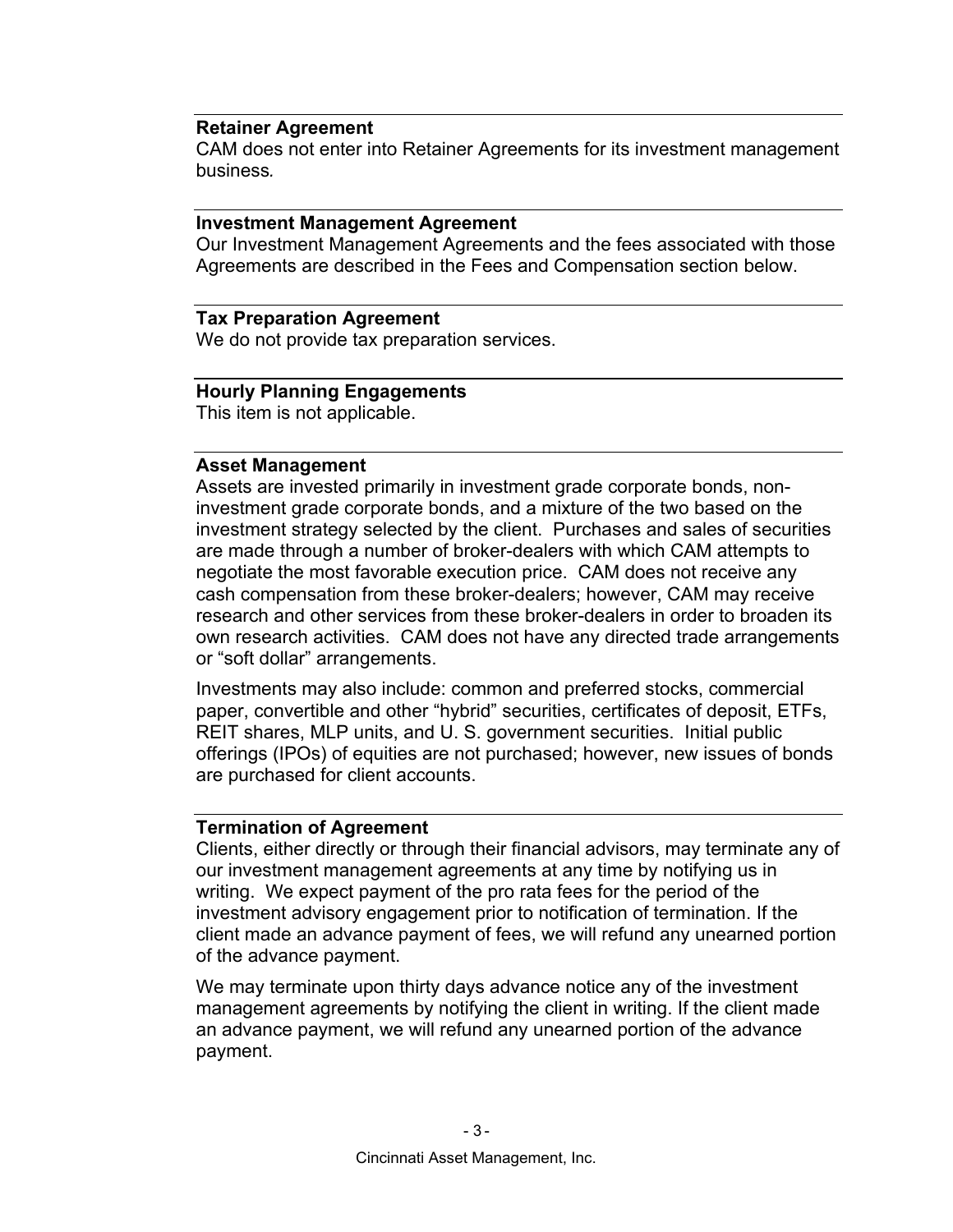### **Retainer Agreement**

CAM does not enter into Retainer Agreements for its investment management business*.*

#### **Investment Management Agreement**

Our Investment Management Agreements and the fees associated with those Agreements are described in the Fees and Compensation section below.

### **Tax Preparation Agreement**

We do not provide tax preparation services.

## **Hourly Planning Engagements**

This item is not applicable.

### **Asset Management**

Assets are invested primarily in investment grade corporate bonds, noninvestment grade corporate bonds, and a mixture of the two based on the investment strategy selected by the client. Purchases and sales of securities are made through a number of broker-dealers with which CAM attempts to negotiate the most favorable execution price. CAM does not receive any cash compensation from these broker-dealers; however, CAM may receive research and other services from these broker-dealers in order to broaden its own research activities. CAM does not have any directed trade arrangements or "soft dollar" arrangements.

Investments may also include: common and preferred stocks, commercial paper, convertible and other "hybrid" securities, certificates of deposit, ETFs, REIT shares, MLP units, and U. S. government securities. Initial public offerings (IPOs) of equities are not purchased; however, new issues of bonds are purchased for client accounts.

#### **Termination of Agreement**

Clients, either directly or through their financial advisors, may terminate any of our investment management agreements at any time by notifying us in writing. We expect payment of the pro rata fees for the period of the investment advisory engagement prior to notification of termination. If the client made an advance payment of fees, we will refund any unearned portion of the advance payment.

We may terminate upon thirty days advance notice any of the investment management agreements by notifying the client in writing. If the client made an advance payment, we will refund any unearned portion of the advance payment.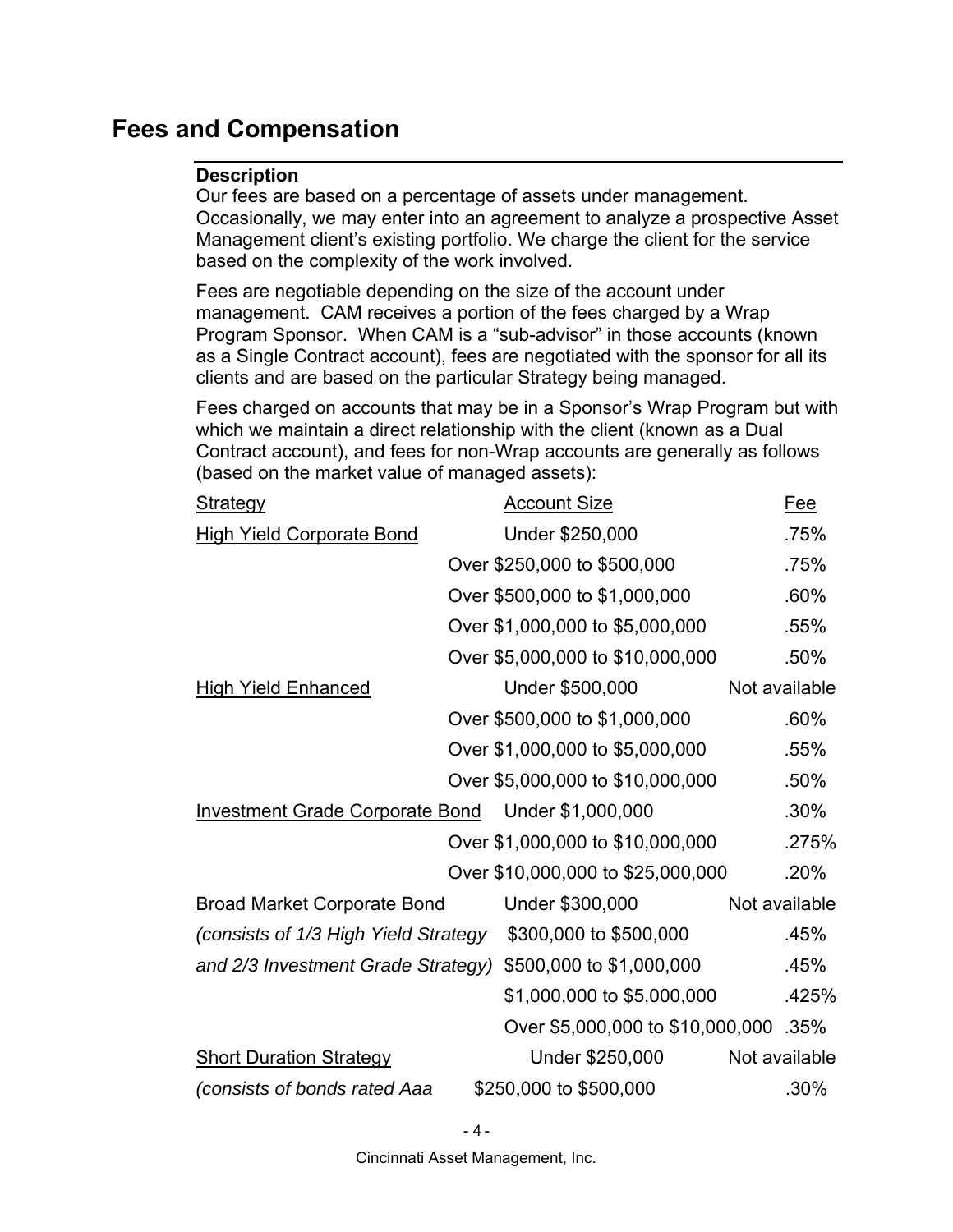## **Fees and Compensation**

## **Description**

Our fees are based on a percentage of assets under management. Occasionally, we may enter into an agreement to analyze a prospective Asset Management client's existing portfolio. We charge the client for the service based on the complexity of the work involved.

Fees are negotiable depending on the size of the account under management. CAM receives a portion of the fees charged by a Wrap Program Sponsor. When CAM is a "sub-advisor" in those accounts (known as a Single Contract account), fees are negotiated with the sponsor for all its clients and are based on the particular Strategy being managed.

Fees charged on accounts that may be in a Sponsor's Wrap Program but with which we maintain a direct relationship with the client (known as a Dual Contract account), and fees for non-Wrap accounts are generally as follows (based on the market value of managed assets):

| <b>Strategy</b>                        | <b>Account Size</b>               | <u>Fee</u>    |
|----------------------------------------|-----------------------------------|---------------|
| <b>High Yield Corporate Bond</b>       | Under \$250,000                   | .75%          |
|                                        | Over \$250,000 to \$500,000       | .75%          |
|                                        | Over \$500,000 to \$1,000,000     | .60%          |
|                                        | Over \$1,000,000 to \$5,000,000   | .55%          |
|                                        | Over \$5,000,000 to \$10,000,000  | .50%          |
| <b>High Yield Enhanced</b>             | Under \$500,000                   | Not available |
|                                        | Over \$500,000 to \$1,000,000     | .60%          |
|                                        | Over \$1,000,000 to \$5,000,000   | .55%          |
|                                        | Over \$5,000,000 to \$10,000,000  | .50%          |
| <b>Investment Grade Corporate Bond</b> | Under \$1,000,000                 | .30%          |
|                                        | Over \$1,000,000 to \$10,000,000  | .275%         |
|                                        | Over \$10,000,000 to \$25,000,000 | .20%          |
| <b>Broad Market Corporate Bond</b>     | Under \$300,000                   | Not available |
| (consists of 1/3 High Yield Strategy   | \$300,000 to \$500,000            | .45%          |
| and 2/3 Investment Grade Strategy)     | \$500,000 to \$1,000,000          | .45%          |
|                                        | \$1,000,000 to \$5,000,000        | .425%         |
|                                        | Over \$5,000,000 to \$10,000,000  | $.35\%$       |
| <b>Short Duration Strategy</b>         | Under \$250,000                   | Not available |
| (consists of bonds rated Aaa           | \$250,000 to \$500,000            | $.30\%$       |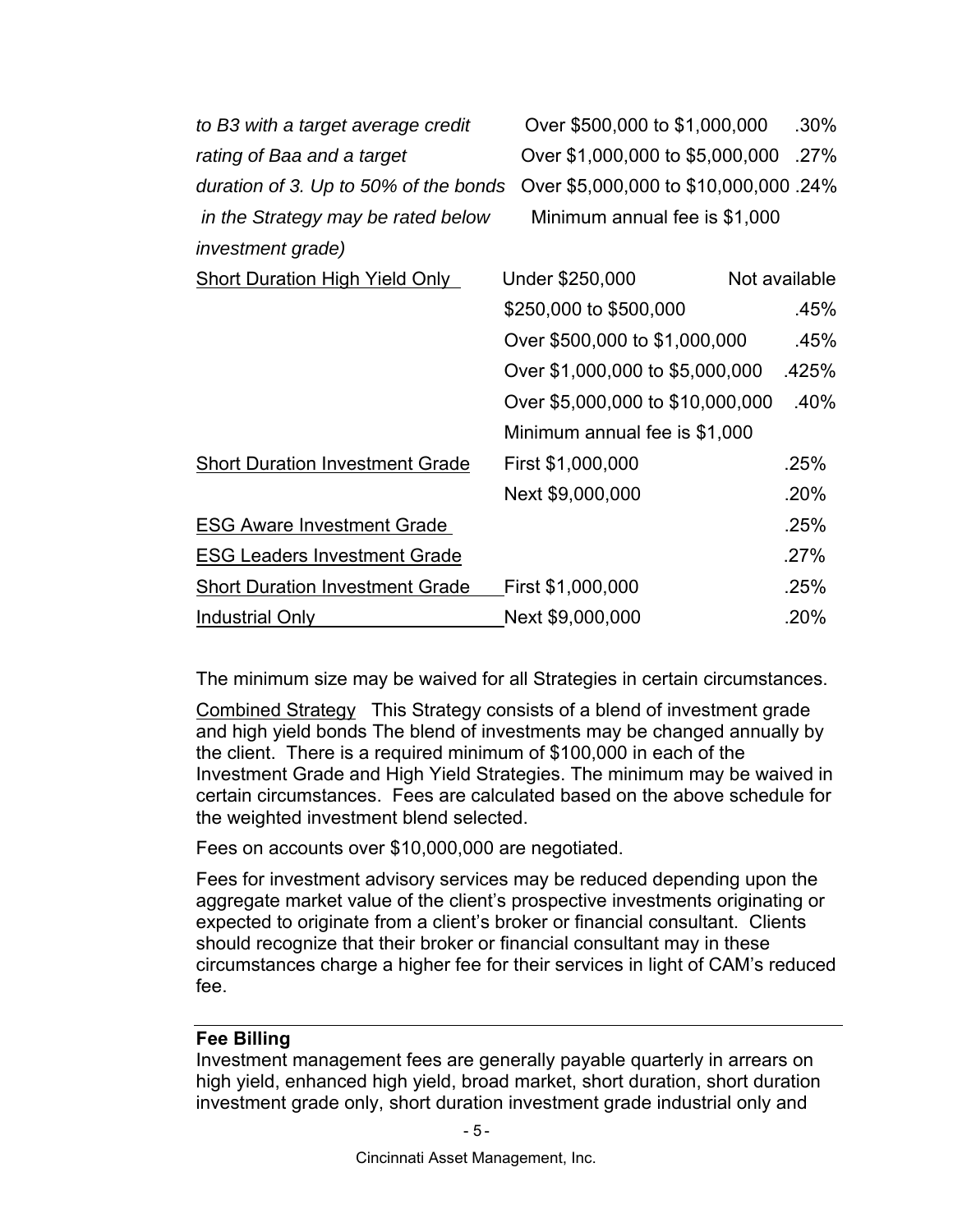| to B3 with a target average credit     | Over \$500,000 to \$1,000,000         | $.30\%$       |
|----------------------------------------|---------------------------------------|---------------|
| rating of Baa and a target             | Over \$1,000,000 to \$5,000,000       | .27%          |
| duration of 3. Up to 50% of the bonds  | Over \$5,000,000 to \$10,000,000 .24% |               |
| in the Strategy may be rated below     | Minimum annual fee is \$1,000         |               |
| <i>investment grade)</i>               |                                       |               |
| <b>Short Duration High Yield Only</b>  | Under \$250,000                       | Not available |
|                                        | \$250,000 to \$500,000                | .45%          |
|                                        | Over \$500,000 to \$1,000,000         | .45%          |
|                                        | Over \$1,000,000 to \$5,000,000       | .425%         |
|                                        | Over \$5,000,000 to \$10,000,000      | .40%          |
|                                        | Minimum annual fee is \$1,000         |               |
| <b>Short Duration Investment Grade</b> | First \$1,000,000                     | .25%          |
|                                        | Next \$9,000,000                      | .20%          |
| <b>ESG Aware Investment Grade</b>      |                                       | .25%          |
| <b>ESG Leaders Investment Grade</b>    |                                       | .27%          |
| <b>Short Duration Investment Grade</b> | First \$1,000,000                     | .25%          |
| <b>Industrial Only</b>                 | Next \$9,000,000                      | .20%          |

The minimum size may be waived for all Strategies in certain circumstances.

Combined Strategy This Strategy consists of a blend of investment grade and high yield bonds The blend of investments may be changed annually by the client. There is a required minimum of \$100,000 in each of the Investment Grade and High Yield Strategies. The minimum may be waived in certain circumstances. Fees are calculated based on the above schedule for the weighted investment blend selected.

Fees on accounts over \$10,000,000 are negotiated.

Fees for investment advisory services may be reduced depending upon the aggregate market value of the client's prospective investments originating or expected to originate from a client's broker or financial consultant. Clients should recognize that their broker or financial consultant may in these circumstances charge a higher fee for their services in light of CAM's reduced fee.

## **Fee Billing**

Investment management fees are generally payable quarterly in arrears on high yield, enhanced high yield, broad market, short duration, short duration investment grade only, short duration investment grade industrial only and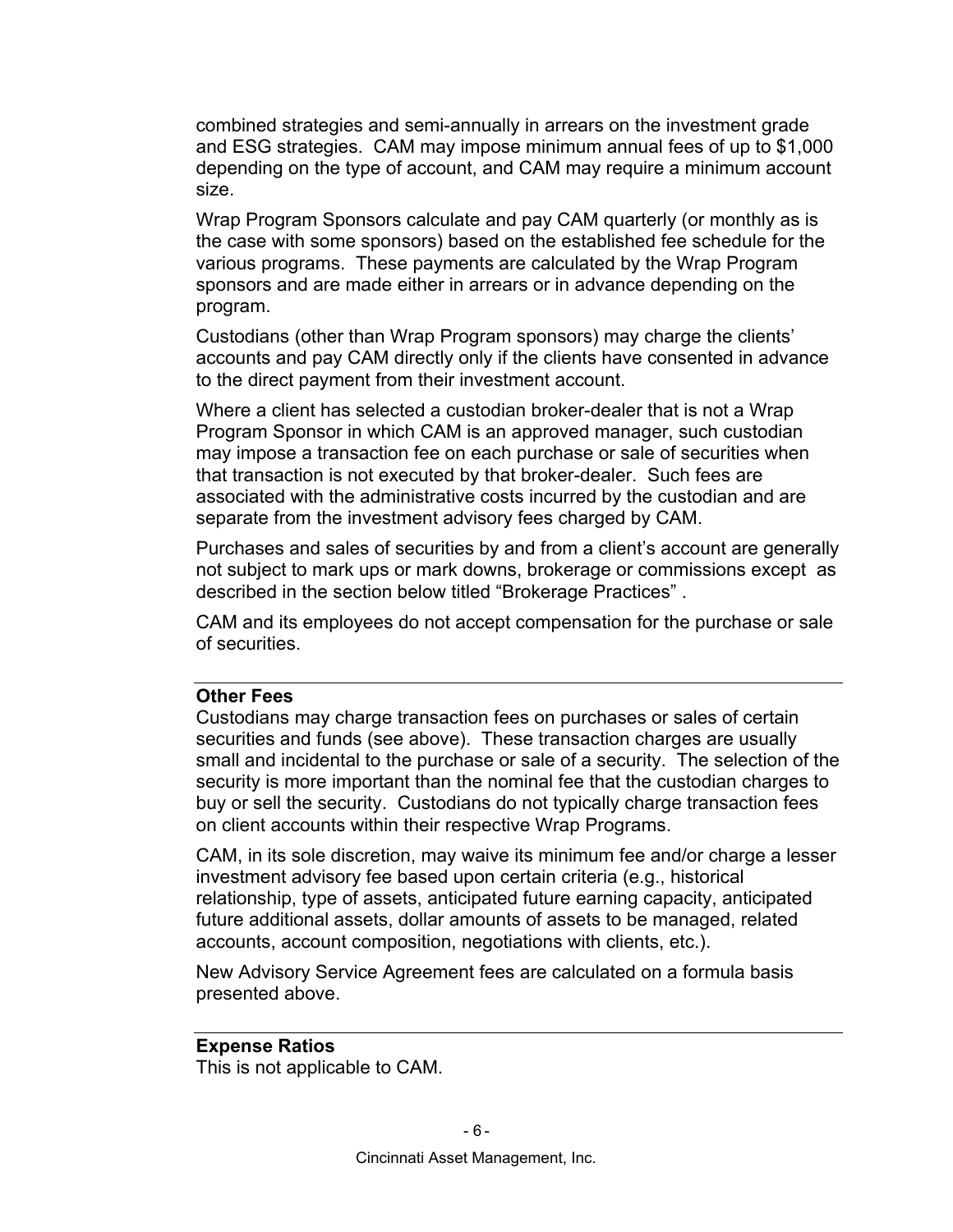combined strategies and semi-annually in arrears on the investment grade and ESG strategies. CAM may impose minimum annual fees of up to \$1,000 depending on the type of account, and CAM may require a minimum account size.

Wrap Program Sponsors calculate and pay CAM quarterly (or monthly as is the case with some sponsors) based on the established fee schedule for the various programs. These payments are calculated by the Wrap Program sponsors and are made either in arrears or in advance depending on the program.

Custodians (other than Wrap Program sponsors) may charge the clients' accounts and pay CAM directly only if the clients have consented in advance to the direct payment from their investment account.

Where a client has selected a custodian broker-dealer that is not a Wrap Program Sponsor in which CAM is an approved manager, such custodian may impose a transaction fee on each purchase or sale of securities when that transaction is not executed by that broker-dealer. Such fees are associated with the administrative costs incurred by the custodian and are separate from the investment advisory fees charged by CAM.

Purchases and sales of securities by and from a client's account are generally not subject to mark ups or mark downs, brokerage or commissions except as described in the section below titled "Brokerage Practices" .

CAM and its employees do not accept compensation for the purchase or sale of securities.

#### **Other Fees**

Custodians may charge transaction fees on purchases or sales of certain securities and funds (see above). These transaction charges are usually small and incidental to the purchase or sale of a security. The selection of the security is more important than the nominal fee that the custodian charges to buy or sell the security. Custodians do not typically charge transaction fees on client accounts within their respective Wrap Programs.

CAM, in its sole discretion, may waive its minimum fee and/or charge a lesser investment advisory fee based upon certain criteria (e.g., historical relationship, type of assets, anticipated future earning capacity, anticipated future additional assets, dollar amounts of assets to be managed, related accounts, account composition, negotiations with clients, etc.).

New Advisory Service Agreement fees are calculated on a formula basis presented above.

## **Expense Ratios**

This is not applicable to CAM.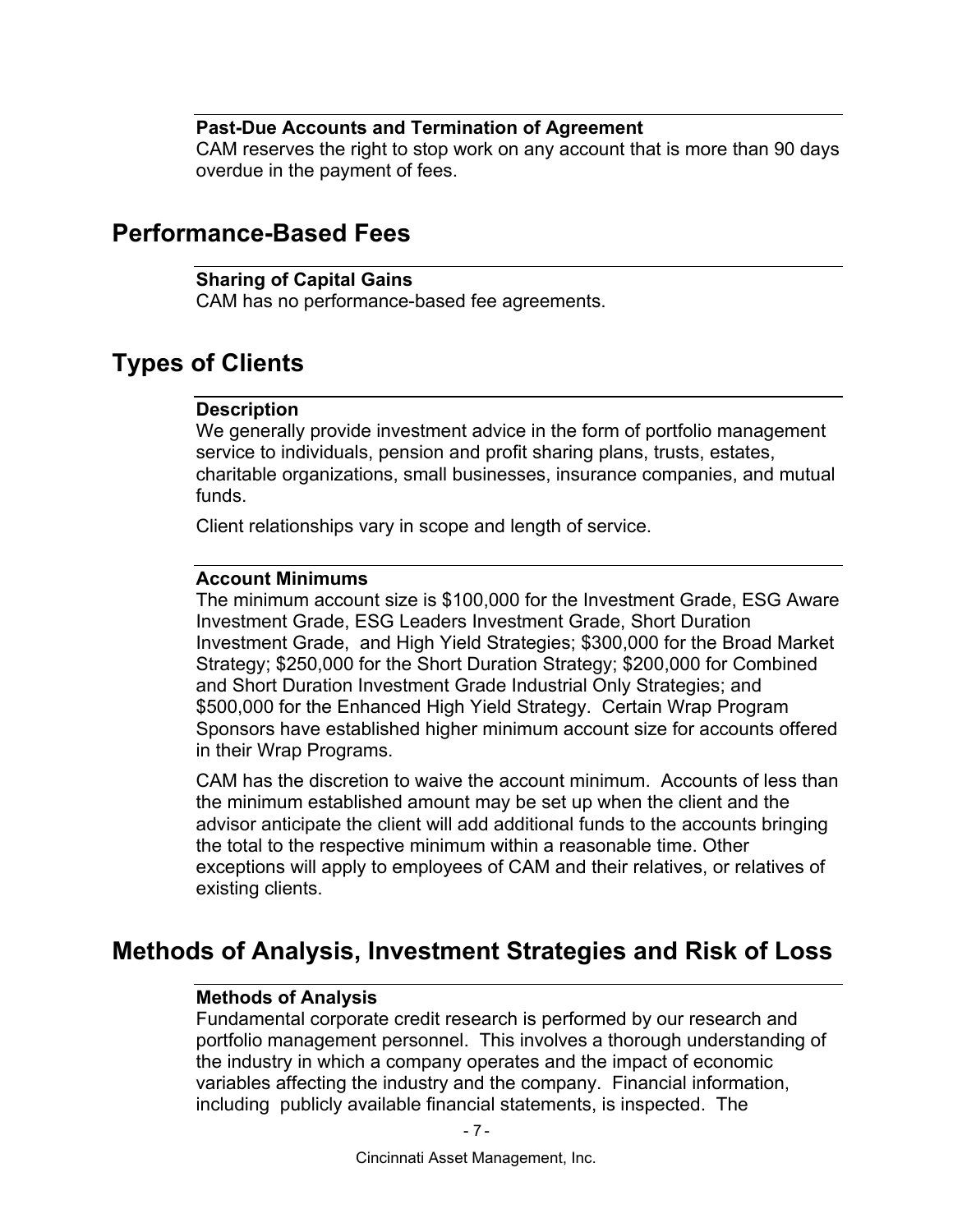### **Past-Due Accounts and Termination of Agreement**

CAM reserves the right to stop work on any account that is more than 90 days overdue in the payment of fees.

## **Performance-Based Fees**

### **Sharing of Capital Gains**

CAM has no performance-based fee agreements.

## **Types of Clients**

## **Description**

We generally provide investment advice in the form of portfolio management service to individuals, pension and profit sharing plans, trusts, estates, charitable organizations, small businesses, insurance companies, and mutual funds.

Client relationships vary in scope and length of service.

#### **Account Minimums**

The minimum account size is \$100,000 for the Investment Grade, ESG Aware Investment Grade, ESG Leaders Investment Grade, Short Duration Investment Grade, and High Yield Strategies; \$300,000 for the Broad Market Strategy; \$250,000 for the Short Duration Strategy; \$200,000 for Combined and Short Duration Investment Grade Industrial Only Strategies; and \$500,000 for the Enhanced High Yield Strategy. Certain Wrap Program Sponsors have established higher minimum account size for accounts offered in their Wrap Programs.

CAM has the discretion to waive the account minimum. Accounts of less than the minimum established amount may be set up when the client and the advisor anticipate the client will add additional funds to the accounts bringing the total to the respective minimum within a reasonable time. Other exceptions will apply to employees of CAM and their relatives, or relatives of existing clients.

## **Methods of Analysis, Investment Strategies and Risk of Loss**

## **Methods of Analysis**

Fundamental corporate credit research is performed by our research and portfolio management personnel. This involves a thorough understanding of the industry in which a company operates and the impact of economic variables affecting the industry and the company. Financial information, including publicly available financial statements, is inspected. The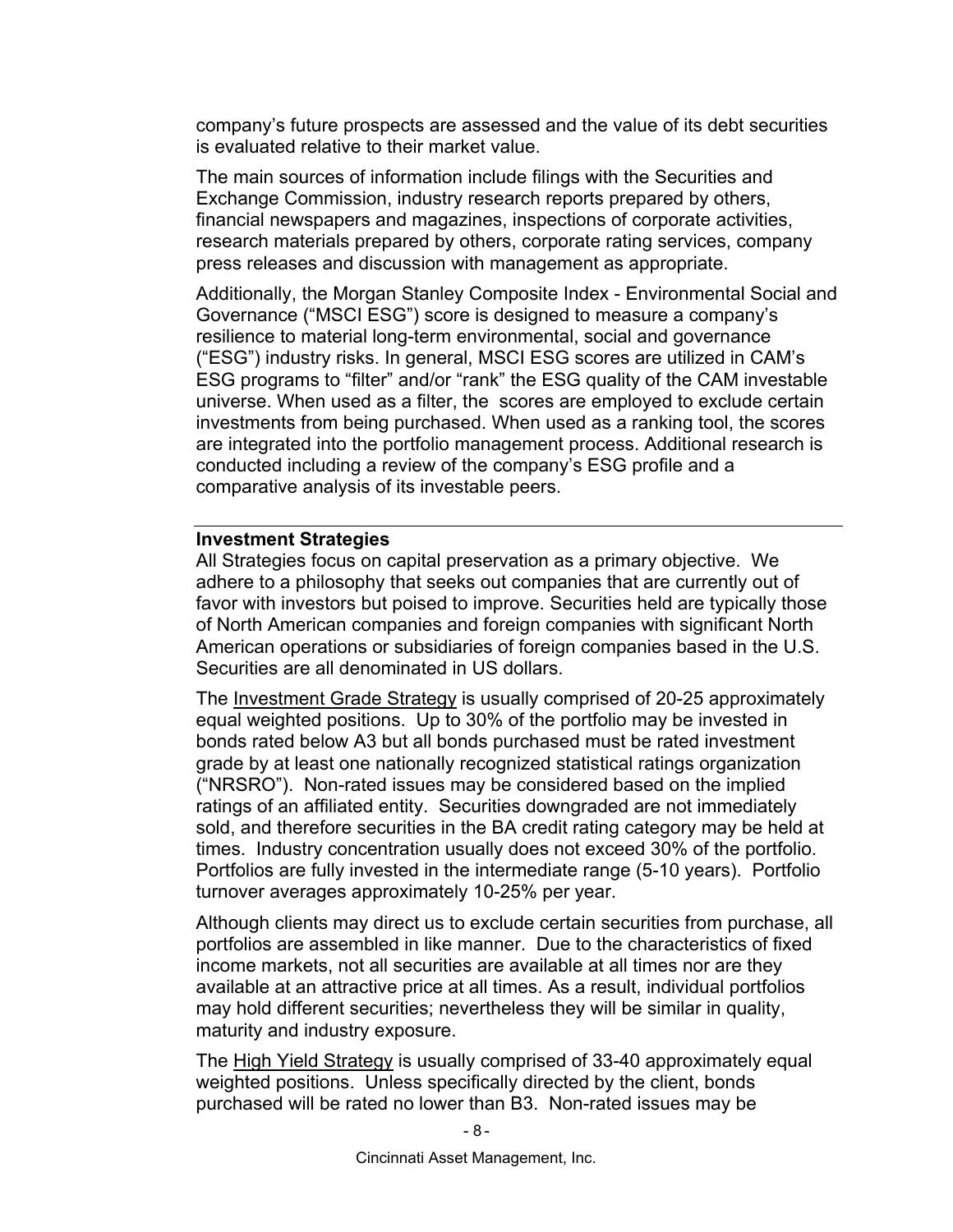company's future prospects are assessed and the value of its debt securities is evaluated relative to their market value.

The main sources of information include filings with the Securities and Exchange Commission, industry research reports prepared by others, financial newspapers and magazines, inspections of corporate activities, research materials prepared by others, corporate rating services, company press releases and discussion with management as appropriate.

Additionally, the Morgan Stanley Composite Index - Environmental Social and Governance ("MSCI ESG") score is designed to measure a company's resilience to material long-term environmental, social and governance ("ESG") industry risks. In general, MSCI ESG scores are utilized in CAM's ESG programs to "filter" and/or "rank" the ESG quality of the CAM investable universe. When used as a filter, the scores are employed to exclude certain investments from being purchased. When used as a ranking tool, the scores are integrated into the portfolio management process. Additional research is conducted including a review of the company's ESG profile and a comparative analysis of its investable peers.

### **Investment Strategies**

All Strategies focus on capital preservation as a primary objective. We adhere to a philosophy that seeks out companies that are currently out of favor with investors but poised to improve. Securities held are typically those of North American companies and foreign companies with significant North American operations or subsidiaries of foreign companies based in the U.S. Securities are all denominated in US dollars.

The Investment Grade Strategy is usually comprised of 20-25 approximately equal weighted positions. Up to 30% of the portfolio may be invested in bonds rated below A3 but all bonds purchased must be rated investment grade by at least one nationally recognized statistical ratings organization ("NRSRO"). Non-rated issues may be considered based on the implied ratings of an affiliated entity. Securities downgraded are not immediately sold, and therefore securities in the BA credit rating category may be held at times. Industry concentration usually does not exceed 30% of the portfolio. Portfolios are fully invested in the intermediate range (5-10 years). Portfolio turnover averages approximately 10-25% per year.

Although clients may direct us to exclude certain securities from purchase, all portfolios are assembled in like manner. Due to the characteristics of fixed income markets, not all securities are available at all times nor are they available at an attractive price at all times. As a result, individual portfolios may hold different securities; nevertheless they will be similar in quality, maturity and industry exposure.

The High Yield Strategy is usually comprised of 33-40 approximately equal weighted positions. Unless specifically directed by the client, bonds purchased will be rated no lower than B3. Non-rated issues may be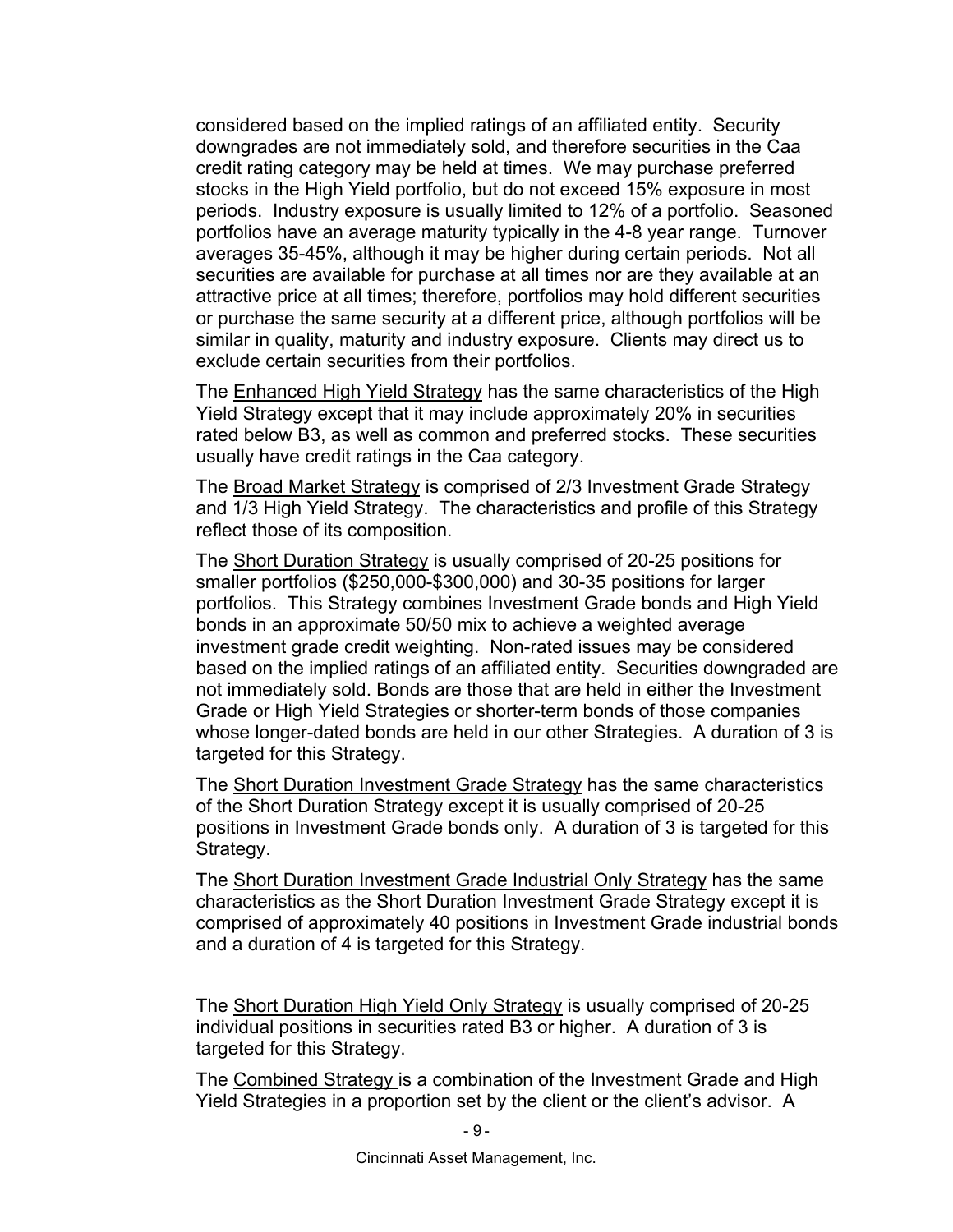considered based on the implied ratings of an affiliated entity. Security downgrades are not immediately sold, and therefore securities in the Caa credit rating category may be held at times. We may purchase preferred stocks in the High Yield portfolio, but do not exceed 15% exposure in most periods. Industry exposure is usually limited to 12% of a portfolio. Seasoned portfolios have an average maturity typically in the 4-8 year range. Turnover averages 35-45%, although it may be higher during certain periods. Not all securities are available for purchase at all times nor are they available at an attractive price at all times; therefore, portfolios may hold different securities or purchase the same security at a different price, although portfolios will be similar in quality, maturity and industry exposure. Clients may direct us to exclude certain securities from their portfolios.

The Enhanced High Yield Strategy has the same characteristics of the High Yield Strategy except that it may include approximately 20% in securities rated below B3, as well as common and preferred stocks. These securities usually have credit ratings in the Caa category.

The Broad Market Strategy is comprised of 2/3 Investment Grade Strategy and 1/3 High Yield Strategy. The characteristics and profile of this Strategy reflect those of its composition.

The Short Duration Strategy is usually comprised of 20-25 positions for smaller portfolios (\$250,000-\$300,000) and 30-35 positions for larger portfolios. This Strategy combines Investment Grade bonds and High Yield bonds in an approximate 50/50 mix to achieve a weighted average investment grade credit weighting. Non-rated issues may be considered based on the implied ratings of an affiliated entity. Securities downgraded are not immediately sold. Bonds are those that are held in either the Investment Grade or High Yield Strategies or shorter-term bonds of those companies whose longer-dated bonds are held in our other Strategies. A duration of 3 is targeted for this Strategy.

The Short Duration Investment Grade Strategy has the same characteristics of the Short Duration Strategy except it is usually comprised of 20-25 positions in Investment Grade bonds only. A duration of 3 is targeted for this Strategy.

The Short Duration Investment Grade Industrial Only Strategy has the same characteristics as the Short Duration Investment Grade Strategy except it is comprised of approximately 40 positions in Investment Grade industrial bonds and a duration of 4 is targeted for this Strategy.

The Short Duration High Yield Only Strategy is usually comprised of 20-25 individual positions in securities rated B3 or higher. A duration of 3 is targeted for this Strategy.

The Combined Strategy is a combination of the Investment Grade and High Yield Strategies in a proportion set by the client or the client's advisor. A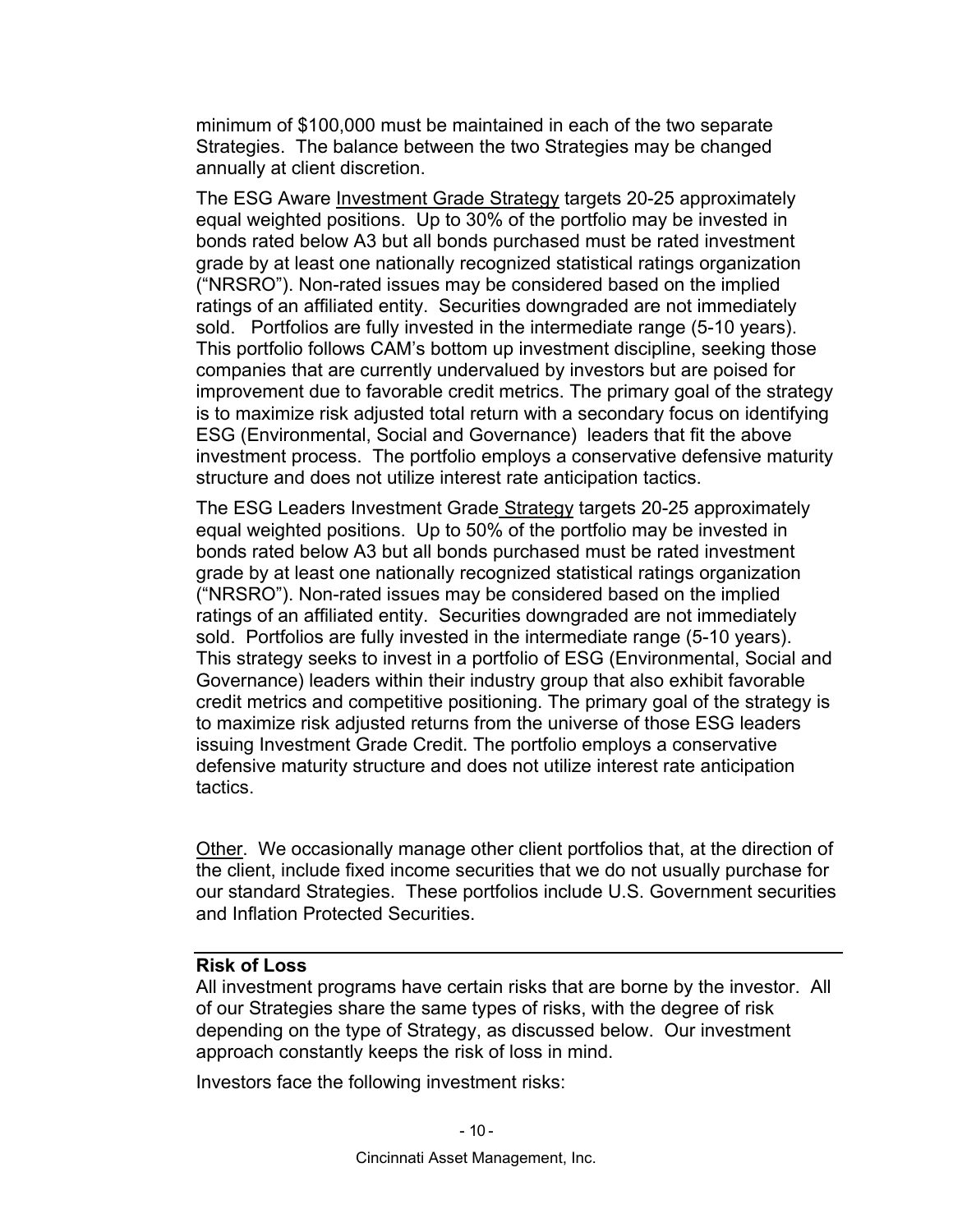minimum of \$100,000 must be maintained in each of the two separate Strategies. The balance between the two Strategies may be changed annually at client discretion.

The ESG Aware Investment Grade Strategy targets 20-25 approximately equal weighted positions. Up to 30% of the portfolio may be invested in bonds rated below A3 but all bonds purchased must be rated investment grade by at least one nationally recognized statistical ratings organization ("NRSRO"). Non-rated issues may be considered based on the implied ratings of an affiliated entity. Securities downgraded are not immediately sold. Portfolios are fully invested in the intermediate range (5-10 years). This portfolio follows CAM's bottom up investment discipline, seeking those companies that are currently undervalued by investors but are poised for improvement due to favorable credit metrics. The primary goal of the strategy is to maximize risk adjusted total return with a secondary focus on identifying ESG (Environmental, Social and Governance) leaders that fit the above investment process. The portfolio employs a conservative defensive maturity structure and does not utilize interest rate anticipation tactics.

The ESG Leaders Investment Grade Strategy targets 20-25 approximately equal weighted positions. Up to 50% of the portfolio may be invested in bonds rated below A3 but all bonds purchased must be rated investment grade by at least one nationally recognized statistical ratings organization ("NRSRO"). Non-rated issues may be considered based on the implied ratings of an affiliated entity. Securities downgraded are not immediately sold. Portfolios are fully invested in the intermediate range (5-10 years). This strategy seeks to invest in a portfolio of ESG (Environmental, Social and Governance) leaders within their industry group that also exhibit favorable credit metrics and competitive positioning. The primary goal of the strategy is to maximize risk adjusted returns from the universe of those ESG leaders issuing Investment Grade Credit. The portfolio employs a conservative defensive maturity structure and does not utilize interest rate anticipation tactics.

Other. We occasionally manage other client portfolios that, at the direction of the client, include fixed income securities that we do not usually purchase for our standard Strategies. These portfolios include U.S. Government securities and Inflation Protected Securities.

#### **Risk of Loss**

All investment programs have certain risks that are borne by the investor. All of our Strategies share the same types of risks, with the degree of risk depending on the type of Strategy, as discussed below. Our investment approach constantly keeps the risk of loss in mind.

Investors face the following investment risks: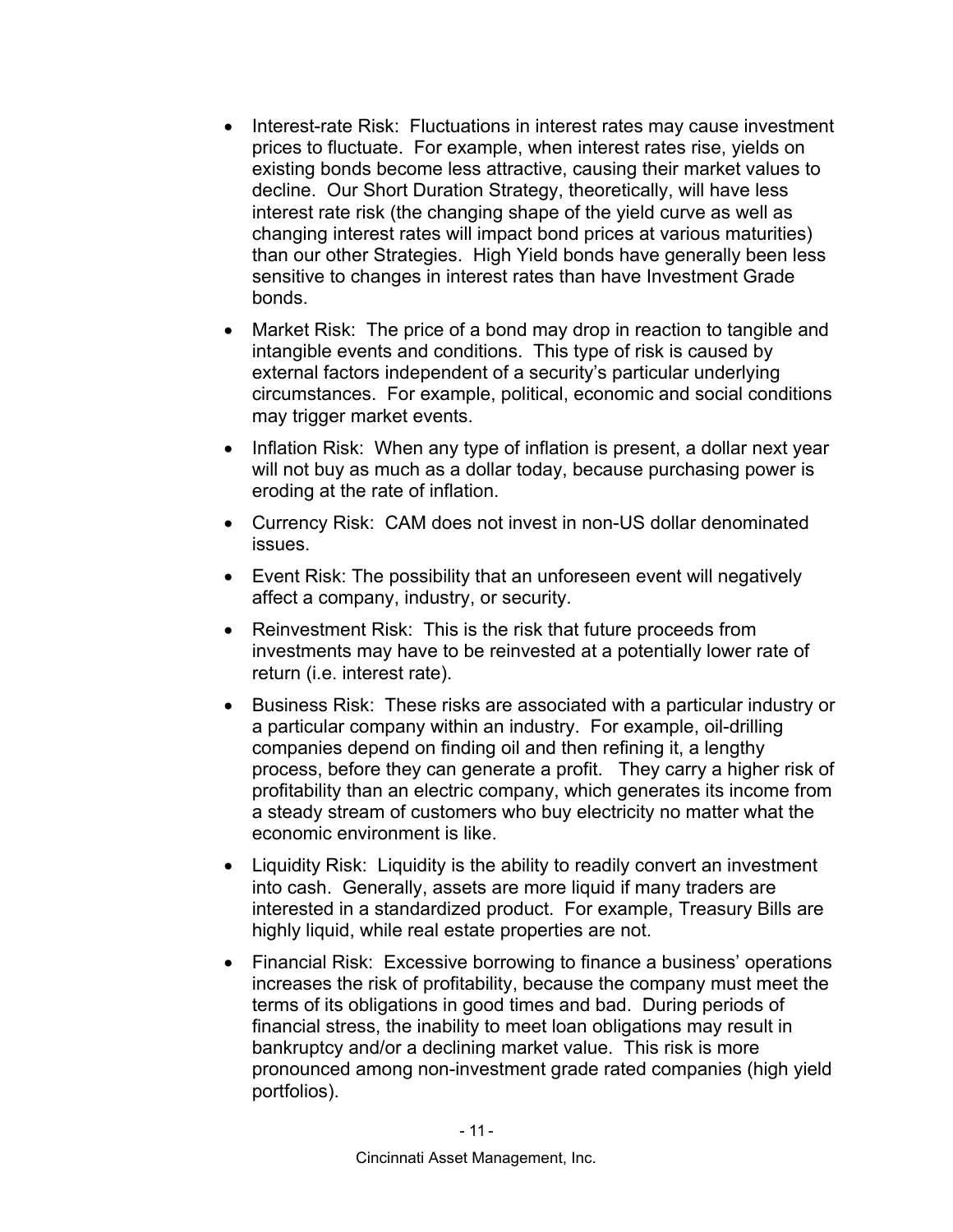- Interest-rate Risk: Fluctuations in interest rates may cause investment prices to fluctuate. For example, when interest rates rise, yields on existing bonds become less attractive, causing their market values to decline. Our Short Duration Strategy, theoretically, will have less interest rate risk (the changing shape of the yield curve as well as changing interest rates will impact bond prices at various maturities) than our other Strategies. High Yield bonds have generally been less sensitive to changes in interest rates than have Investment Grade bonds.
- Market Risk: The price of a bond may drop in reaction to tangible and intangible events and conditions. This type of risk is caused by external factors independent of a security's particular underlying circumstances. For example, political, economic and social conditions may trigger market events.
- Inflation Risk: When any type of inflation is present, a dollar next year will not buy as much as a dollar today, because purchasing power is eroding at the rate of inflation.
- Currency Risk: CAM does not invest in non-US dollar denominated issues.
- Event Risk: The possibility that an unforeseen event will negatively affect a company, industry, or security.
- Reinvestment Risk: This is the risk that future proceeds from investments may have to be reinvested at a potentially lower rate of return (i.e. interest rate).
- Business Risk: These risks are associated with a particular industry or a particular company within an industry. For example, oil-drilling companies depend on finding oil and then refining it, a lengthy process, before they can generate a profit. They carry a higher risk of profitability than an electric company, which generates its income from a steady stream of customers who buy electricity no matter what the economic environment is like.
- Liquidity Risk: Liquidity is the ability to readily convert an investment into cash. Generally, assets are more liquid if many traders are interested in a standardized product. For example, Treasury Bills are highly liquid, while real estate properties are not.
- Financial Risk: Excessive borrowing to finance a business' operations increases the risk of profitability, because the company must meet the terms of its obligations in good times and bad. During periods of financial stress, the inability to meet loan obligations may result in bankruptcy and/or a declining market value. This risk is more pronounced among non-investment grade rated companies (high yield portfolios).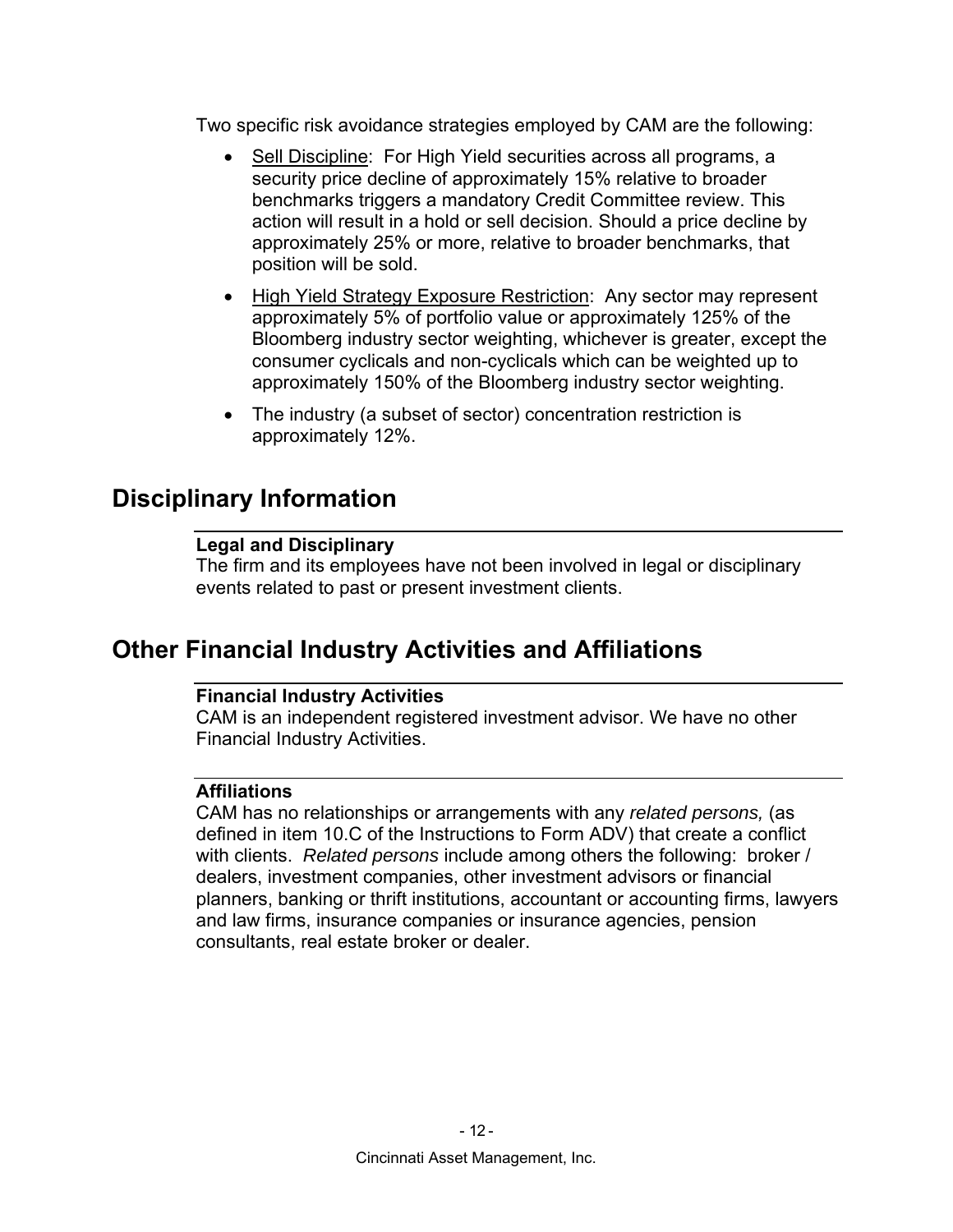Two specific risk avoidance strategies employed by CAM are the following:

- Sell Discipline: For High Yield securities across all programs, a security price decline of approximately 15% relative to broader benchmarks triggers a mandatory Credit Committee review. This action will result in a hold or sell decision. Should a price decline by approximately 25% or more, relative to broader benchmarks, that position will be sold.
- High Yield Strategy Exposure Restriction: Any sector may represent approximately 5% of portfolio value or approximately 125% of the Bloomberg industry sector weighting, whichever is greater, except the consumer cyclicals and non-cyclicals which can be weighted up to approximately 150% of the Bloomberg industry sector weighting.
- The industry (a subset of sector) concentration restriction is approximately 12%.

## **Disciplinary Information**

## **Legal and Disciplinary**

The firm and its employees have not been involved in legal or disciplinary events related to past or present investment clients.

## **Other Financial Industry Activities and Affiliations**

## **Financial Industry Activities**

CAM is an independent registered investment advisor. We have no other Financial Industry Activities.

## **Affiliations**

CAM has no relationships or arrangements with any *related persons,* (as defined in item 10.C of the Instructions to Form ADV) that create a conflict with clients. *Related persons* include among others the following: broker / dealers, investment companies, other investment advisors or financial planners, banking or thrift institutions, accountant or accounting firms, lawyers and law firms, insurance companies or insurance agencies, pension consultants, real estate broker or dealer.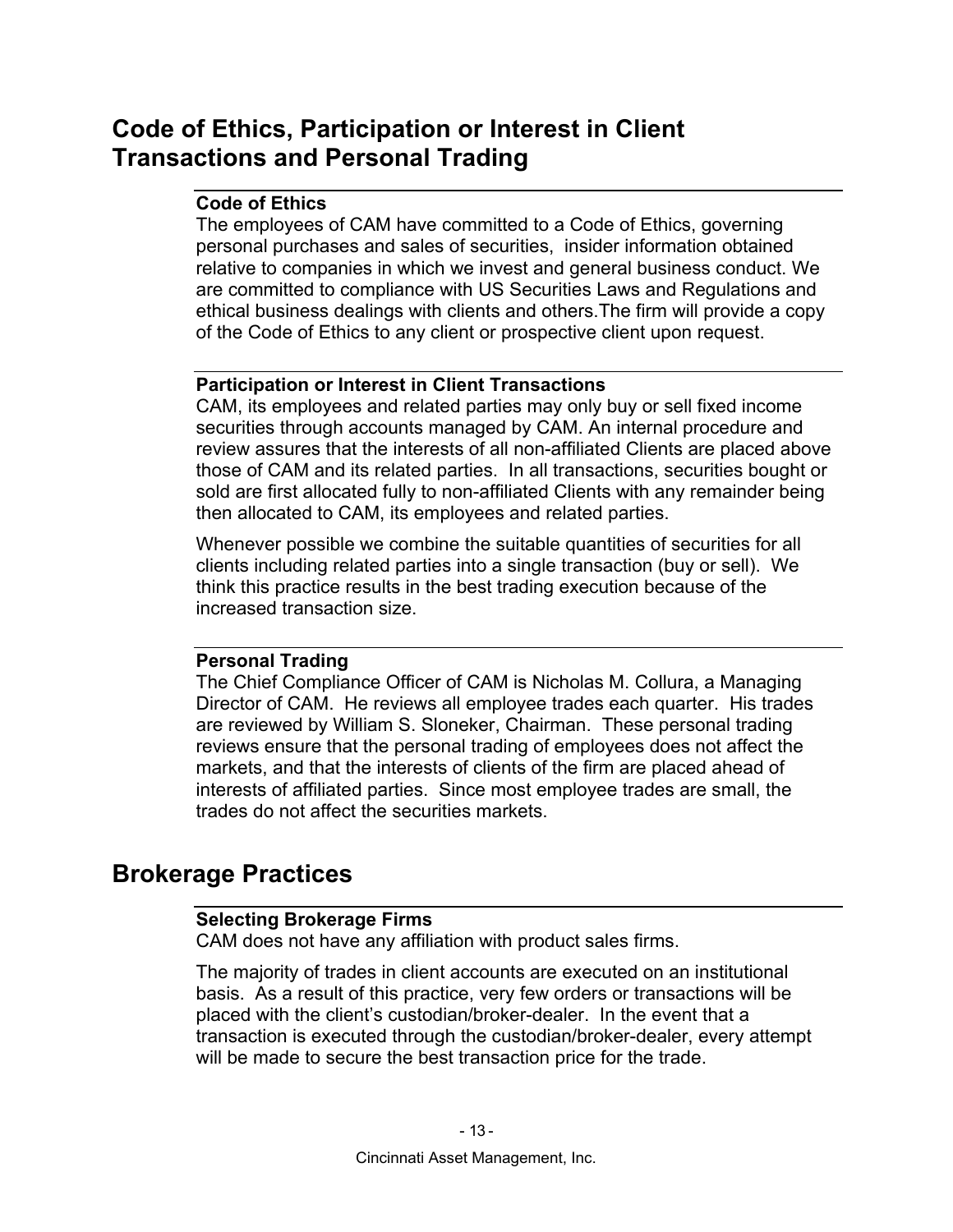## **Code of Ethics, Participation or Interest in Client Transactions and Personal Trading**

## **Code of Ethics**

The employees of CAM have committed to a Code of Ethics, governing personal purchases and sales of securities, insider information obtained relative to companies in which we invest and general business conduct. We are committed to compliance with US Securities Laws and Regulations and ethical business dealings with clients and others.The firm will provide a copy of the Code of Ethics to any client or prospective client upon request.

## **Participation or Interest in Client Transactions**

CAM, its employees and related parties may only buy or sell fixed income securities through accounts managed by CAM. An internal procedure and review assures that the interests of all non-affiliated Clients are placed above those of CAM and its related parties. In all transactions, securities bought or sold are first allocated fully to non-affiliated Clients with any remainder being then allocated to CAM, its employees and related parties.

Whenever possible we combine the suitable quantities of securities for all clients including related parties into a single transaction (buy or sell). We think this practice results in the best trading execution because of the increased transaction size.

## **Personal Trading**

The Chief Compliance Officer of CAM is Nicholas M. Collura, a Managing Director of CAM. He reviews all employee trades each quarter. His trades are reviewed by William S. Sloneker, Chairman. These personal trading reviews ensure that the personal trading of employees does not affect the markets, and that the interests of clients of the firm are placed ahead of interests of affiliated parties. Since most employee trades are small, the trades do not affect the securities markets.

## **Brokerage Practices**

## **Selecting Brokerage Firms**

CAM does not have any affiliation with product sales firms.

The majority of trades in client accounts are executed on an institutional basis. As a result of this practice, very few orders or transactions will be placed with the client's custodian/broker-dealer. In the event that a transaction is executed through the custodian/broker-dealer, every attempt will be made to secure the best transaction price for the trade.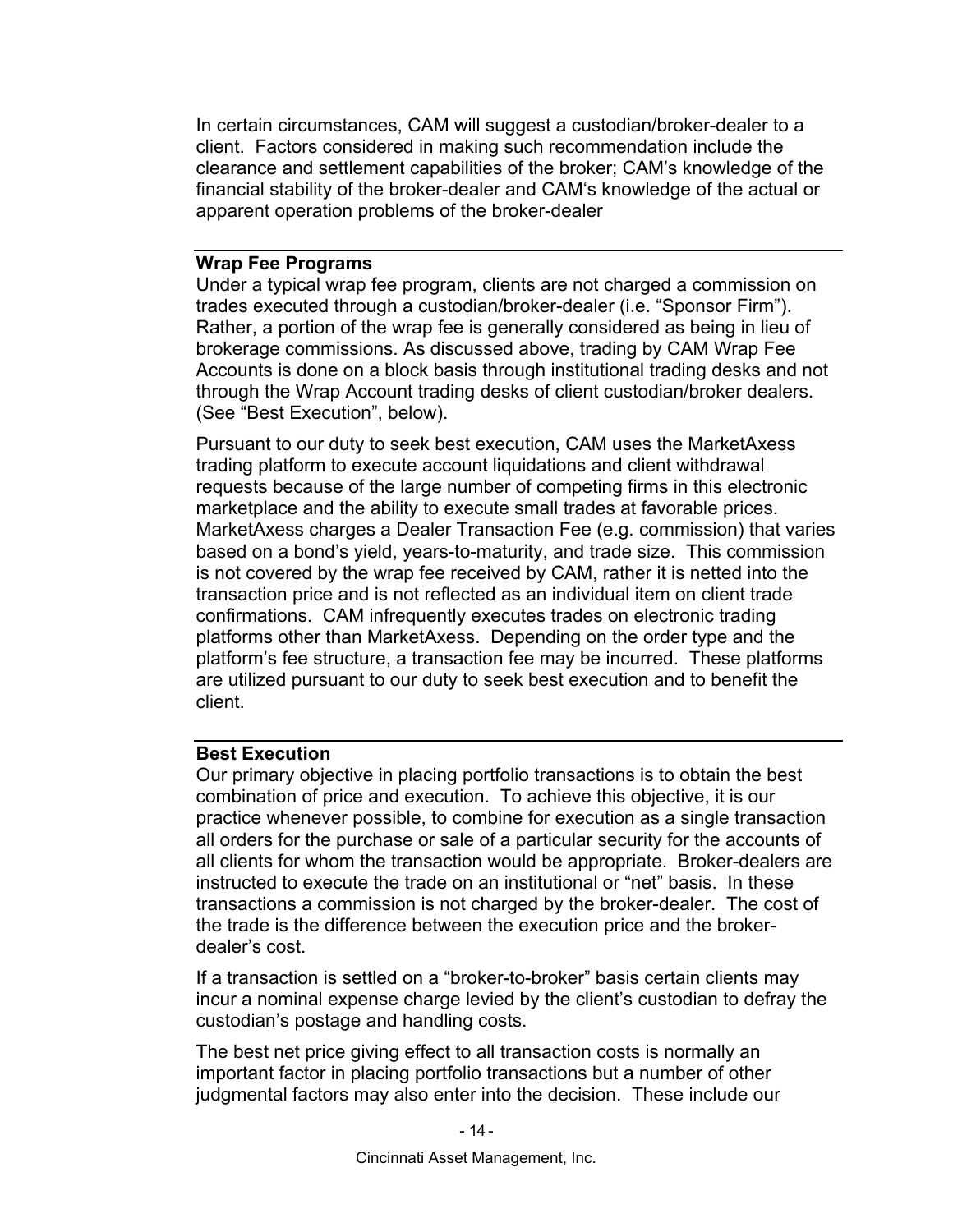In certain circumstances, CAM will suggest a custodian/broker-dealer to a client. Factors considered in making such recommendation include the clearance and settlement capabilities of the broker; CAM's knowledge of the financial stability of the broker-dealer and CAM's knowledge of the actual or apparent operation problems of the broker-dealer

## **Wrap Fee Programs**

Under a typical wrap fee program, clients are not charged a commission on trades executed through a custodian/broker-dealer (i.e. "Sponsor Firm"). Rather, a portion of the wrap fee is generally considered as being in lieu of brokerage commissions. As discussed above, trading by CAM Wrap Fee Accounts is done on a block basis through institutional trading desks and not through the Wrap Account trading desks of client custodian/broker dealers. (See "Best Execution", below).

Pursuant to our duty to seek best execution, CAM uses the MarketAxess trading platform to execute account liquidations and client withdrawal requests because of the large number of competing firms in this electronic marketplace and the ability to execute small trades at favorable prices. MarketAxess charges a Dealer Transaction Fee (e.g. commission) that varies based on a bond's yield, years-to-maturity, and trade size. This commission is not covered by the wrap fee received by CAM, rather it is netted into the transaction price and is not reflected as an individual item on client trade confirmations. CAM infrequently executes trades on electronic trading platforms other than MarketAxess. Depending on the order type and the platform's fee structure, a transaction fee may be incurred. These platforms are utilized pursuant to our duty to seek best execution and to benefit the client.

## **Best Execution**

Our primary objective in placing portfolio transactions is to obtain the best combination of price and execution. To achieve this objective, it is our practice whenever possible, to combine for execution as a single transaction all orders for the purchase or sale of a particular security for the accounts of all clients for whom the transaction would be appropriate. Broker-dealers are instructed to execute the trade on an institutional or "net" basis. In these transactions a commission is not charged by the broker-dealer. The cost of the trade is the difference between the execution price and the brokerdealer's cost.

If a transaction is settled on a "broker-to-broker" basis certain clients may incur a nominal expense charge levied by the client's custodian to defray the custodian's postage and handling costs.

The best net price giving effect to all transaction costs is normally an important factor in placing portfolio transactions but a number of other judgmental factors may also enter into the decision. These include our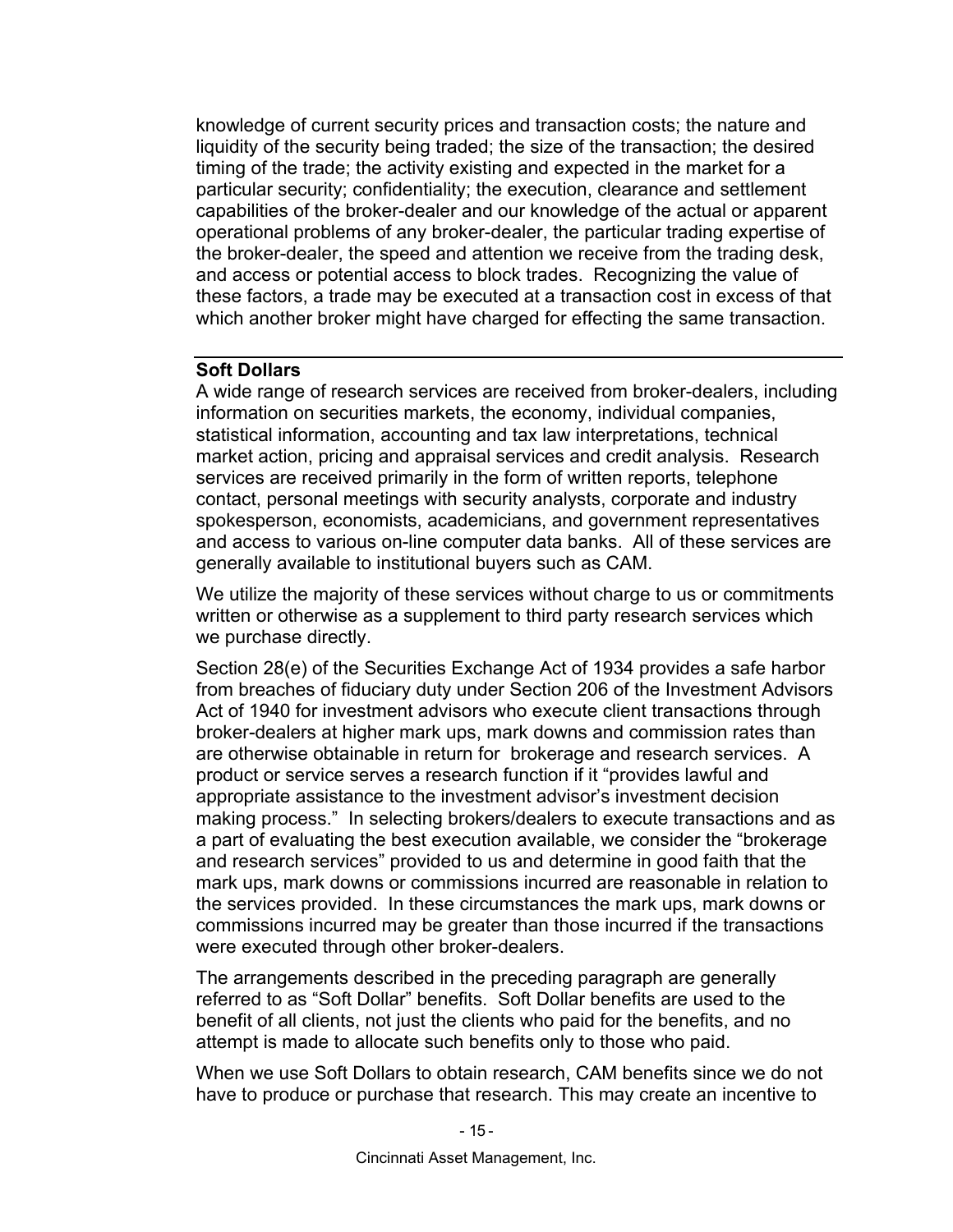knowledge of current security prices and transaction costs; the nature and liquidity of the security being traded; the size of the transaction; the desired timing of the trade; the activity existing and expected in the market for a particular security; confidentiality; the execution, clearance and settlement capabilities of the broker-dealer and our knowledge of the actual or apparent operational problems of any broker-dealer, the particular trading expertise of the broker-dealer, the speed and attention we receive from the trading desk, and access or potential access to block trades. Recognizing the value of these factors, a trade may be executed at a transaction cost in excess of that which another broker might have charged for effecting the same transaction.

## **Soft Dollars**

A wide range of research services are received from broker-dealers, including information on securities markets, the economy, individual companies, statistical information, accounting and tax law interpretations, technical market action, pricing and appraisal services and credit analysis. Research services are received primarily in the form of written reports, telephone contact, personal meetings with security analysts, corporate and industry spokesperson, economists, academicians, and government representatives and access to various on-line computer data banks. All of these services are generally available to institutional buyers such as CAM.

We utilize the majority of these services without charge to us or commitments written or otherwise as a supplement to third party research services which we purchase directly.

Section 28(e) of the Securities Exchange Act of 1934 provides a safe harbor from breaches of fiduciary duty under Section 206 of the Investment Advisors Act of 1940 for investment advisors who execute client transactions through broker-dealers at higher mark ups, mark downs and commission rates than are otherwise obtainable in return for brokerage and research services. A product or service serves a research function if it "provides lawful and appropriate assistance to the investment advisor's investment decision making process." In selecting brokers/dealers to execute transactions and as a part of evaluating the best execution available, we consider the "brokerage and research services" provided to us and determine in good faith that the mark ups, mark downs or commissions incurred are reasonable in relation to the services provided. In these circumstances the mark ups, mark downs or commissions incurred may be greater than those incurred if the transactions were executed through other broker-dealers.

The arrangements described in the preceding paragraph are generally referred to as "Soft Dollar" benefits. Soft Dollar benefits are used to the benefit of all clients, not just the clients who paid for the benefits, and no attempt is made to allocate such benefits only to those who paid.

When we use Soft Dollars to obtain research, CAM benefits since we do not have to produce or purchase that research. This may create an incentive to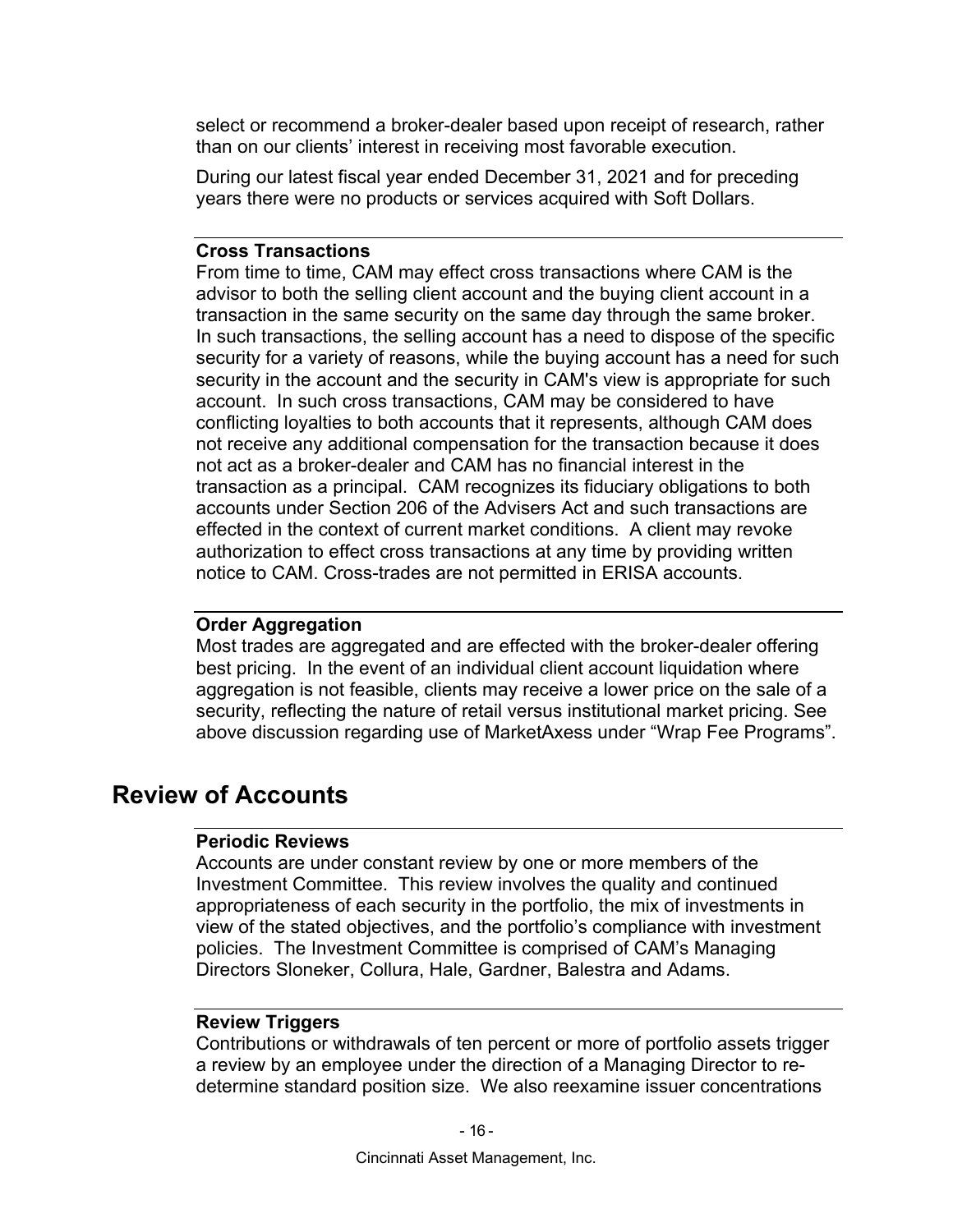select or recommend a broker-dealer based upon receipt of research, rather than on our clients' interest in receiving most favorable execution.

During our latest fiscal year ended December 31, 2021 and for preceding years there were no products or services acquired with Soft Dollars.

#### **Cross Transactions**

From time to time, CAM may effect cross transactions where CAM is the advisor to both the selling client account and the buying client account in a transaction in the same security on the same day through the same broker. In such transactions, the selling account has a need to dispose of the specific security for a variety of reasons, while the buying account has a need for such security in the account and the security in CAM's view is appropriate for such account. In such cross transactions, CAM may be considered to have conflicting loyalties to both accounts that it represents, although CAM does not receive any additional compensation for the transaction because it does not act as a broker-dealer and CAM has no financial interest in the transaction as a principal. CAM recognizes its fiduciary obligations to both accounts under Section 206 of the Advisers Act and such transactions are effected in the context of current market conditions. A client may revoke authorization to effect cross transactions at any time by providing written notice to CAM. Cross-trades are not permitted in ERISA accounts.

### **Order Aggregation**

Most trades are aggregated and are effected with the broker-dealer offering best pricing. In the event of an individual client account liquidation where aggregation is not feasible, clients may receive a lower price on the sale of a security, reflecting the nature of retail versus institutional market pricing. See above discussion regarding use of MarketAxess under "Wrap Fee Programs".

## **Review of Accounts**

#### **Periodic Reviews**

Accounts are under constant review by one or more members of the Investment Committee. This review involves the quality and continued appropriateness of each security in the portfolio, the mix of investments in view of the stated objectives, and the portfolio's compliance with investment policies. The Investment Committee is comprised of CAM's Managing Directors Sloneker, Collura, Hale, Gardner, Balestra and Adams.

#### **Review Triggers**

Contributions or withdrawals of ten percent or more of portfolio assets trigger a review by an employee under the direction of a Managing Director to redetermine standard position size. We also reexamine issuer concentrations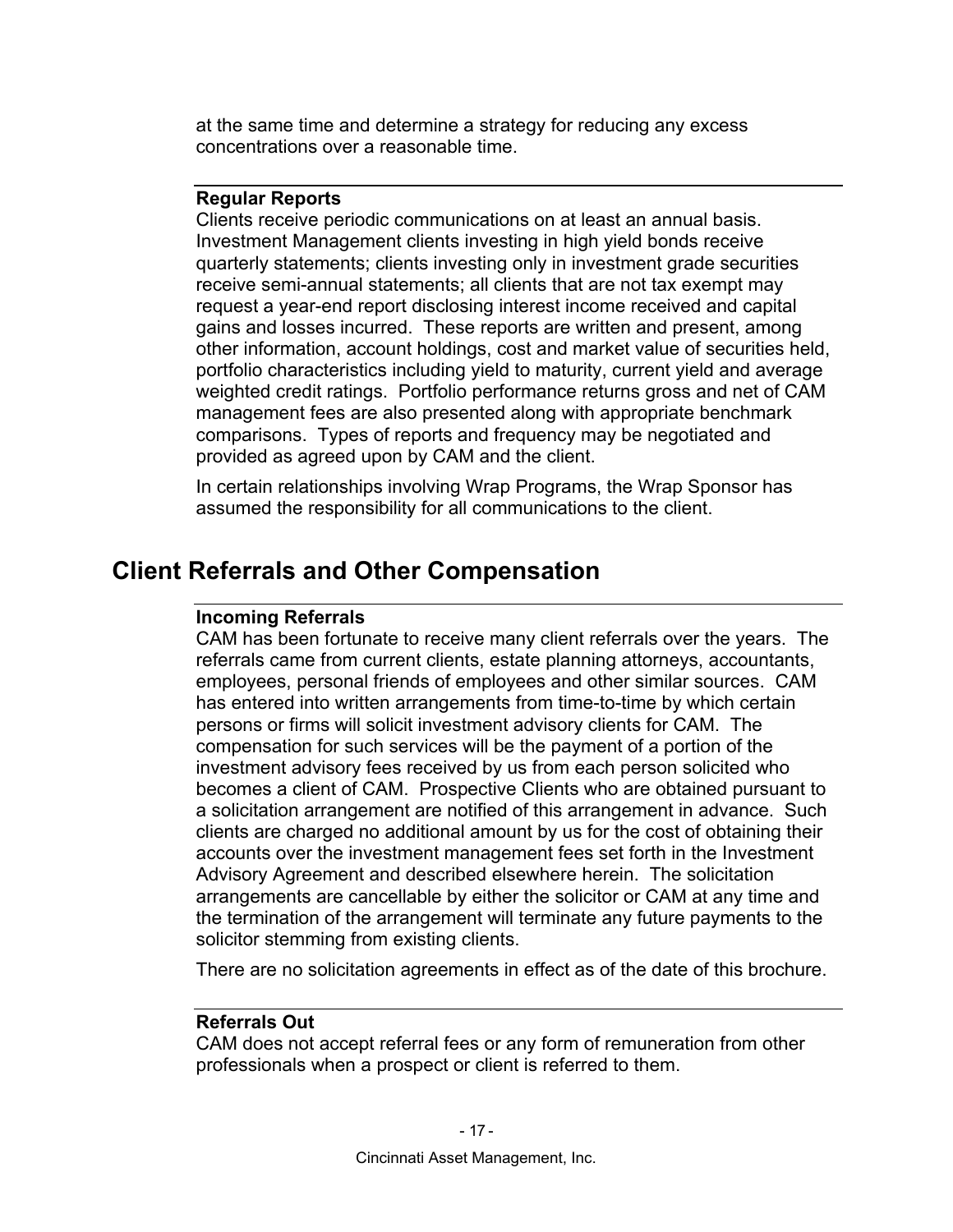at the same time and determine a strategy for reducing any excess concentrations over a reasonable time.

## **Regular Reports**

Clients receive periodic communications on at least an annual basis. Investment Management clients investing in high yield bonds receive quarterly statements; clients investing only in investment grade securities receive semi-annual statements; all clients that are not tax exempt may request a year-end report disclosing interest income received and capital gains and losses incurred. These reports are written and present, among other information, account holdings, cost and market value of securities held, portfolio characteristics including yield to maturity, current yield and average weighted credit ratings. Portfolio performance returns gross and net of CAM management fees are also presented along with appropriate benchmark comparisons. Types of reports and frequency may be negotiated and provided as agreed upon by CAM and the client.

In certain relationships involving Wrap Programs, the Wrap Sponsor has assumed the responsibility for all communications to the client.

## **Client Referrals and Other Compensation**

#### **Incoming Referrals**

CAM has been fortunate to receive many client referrals over the years. The referrals came from current clients, estate planning attorneys, accountants, employees, personal friends of employees and other similar sources. CAM has entered into written arrangements from time-to-time by which certain persons or firms will solicit investment advisory clients for CAM. The compensation for such services will be the payment of a portion of the investment advisory fees received by us from each person solicited who becomes a client of CAM. Prospective Clients who are obtained pursuant to a solicitation arrangement are notified of this arrangement in advance. Such clients are charged no additional amount by us for the cost of obtaining their accounts over the investment management fees set forth in the Investment Advisory Agreement and described elsewhere herein. The solicitation arrangements are cancellable by either the solicitor or CAM at any time and the termination of the arrangement will terminate any future payments to the solicitor stemming from existing clients.

There are no solicitation agreements in effect as of the date of this brochure.

#### **Referrals Out**

CAM does not accept referral fees or any form of remuneration from other professionals when a prospect or client is referred to them.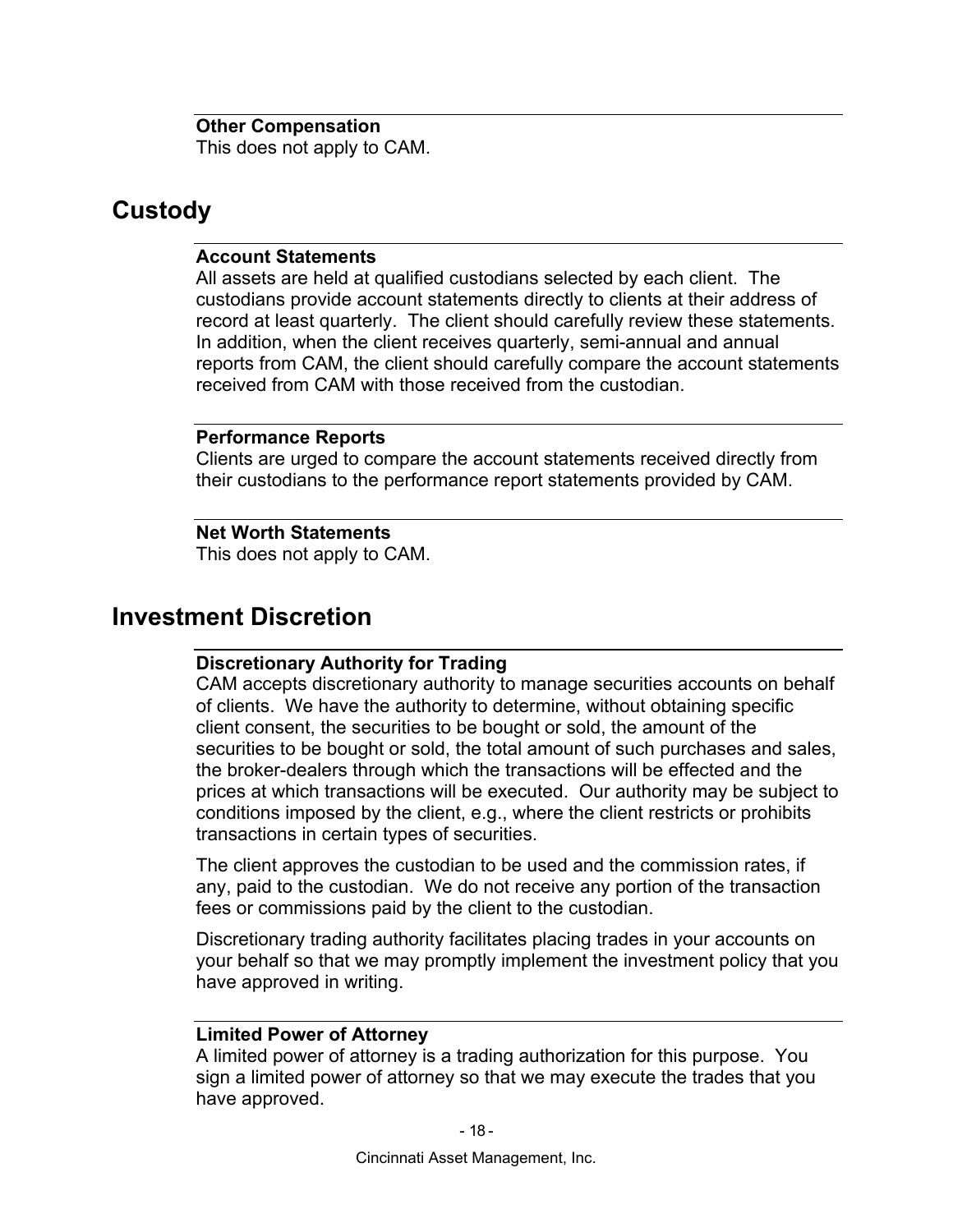**Other Compensation**  This does not apply to CAM.

## **Custody**

## **Account Statements**

All assets are held at qualified custodians selected by each client. The custodians provide account statements directly to clients at their address of record at least quarterly. The client should carefully review these statements. In addition, when the client receives quarterly, semi-annual and annual reports from CAM, the client should carefully compare the account statements received from CAM with those received from the custodian.

## **Performance Reports**

Clients are urged to compare the account statements received directly from their custodians to the performance report statements provided by CAM.

## **Net Worth Statements**

This does not apply to CAM.

## **Investment Discretion**

## **Discretionary Authority for Trading**

CAM accepts discretionary authority to manage securities accounts on behalf of clients. We have the authority to determine, without obtaining specific client consent, the securities to be bought or sold, the amount of the securities to be bought or sold, the total amount of such purchases and sales, the broker-dealers through which the transactions will be effected and the prices at which transactions will be executed. Our authority may be subject to conditions imposed by the client, e.g., where the client restricts or prohibits transactions in certain types of securities.

The client approves the custodian to be used and the commission rates, if any, paid to the custodian. We do not receive any portion of the transaction fees or commissions paid by the client to the custodian.

Discretionary trading authority facilitates placing trades in your accounts on your behalf so that we may promptly implement the investment policy that you have approved in writing.

## **Limited Power of Attorney**

A limited power of attorney is a trading authorization for this purpose. You sign a limited power of attorney so that we may execute the trades that you have approved.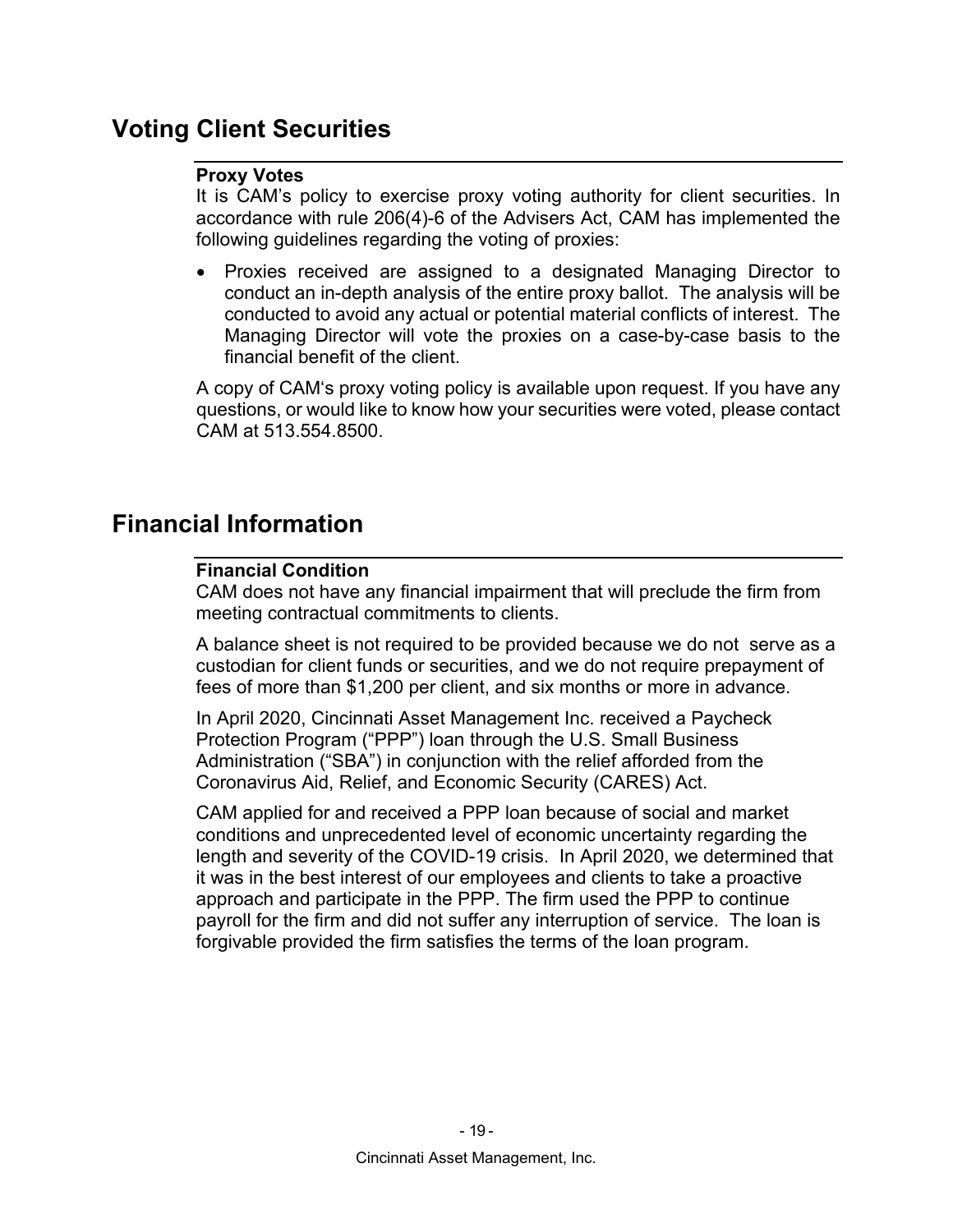## **Voting Client Securities**

## **Proxy Votes**

It is CAM's policy to exercise proxy voting authority for client securities. In accordance with rule 206(4)-6 of the Advisers Act, CAM has implemented the following guidelines regarding the voting of proxies:

 Proxies received are assigned to a designated Managing Director to conduct an in-depth analysis of the entire proxy ballot. The analysis will be conducted to avoid any actual or potential material conflicts of interest. The Managing Director will vote the proxies on a case-by-case basis to the financial benefit of the client.

A copy of CAM's proxy voting policy is available upon request. If you have any questions, or would like to know how your securities were voted, please contact CAM at 513.554.8500.

## **Financial Information**

## **Financial Condition**

CAM does not have any financial impairment that will preclude the firm from meeting contractual commitments to clients.

A balance sheet is not required to be provided because we do not serve as a custodian for client funds or securities, and we do not require prepayment of fees of more than \$1,200 per client, and six months or more in advance.

In April 2020, Cincinnati Asset Management Inc. received a Paycheck Protection Program ("PPP") loan through the U.S. Small Business Administration ("SBA") in conjunction with the relief afforded from the Coronavirus Aid, Relief, and Economic Security (CARES) Act.

CAM applied for and received a PPP loan because of social and market conditions and unprecedented level of economic uncertainty regarding the length and severity of the COVID-19 crisis. In April 2020, we determined that it was in the best interest of our employees and clients to take a proactive approach and participate in the PPP. The firm used the PPP to continue payroll for the firm and did not suffer any interruption of service. The loan is forgivable provided the firm satisfies the terms of the loan program.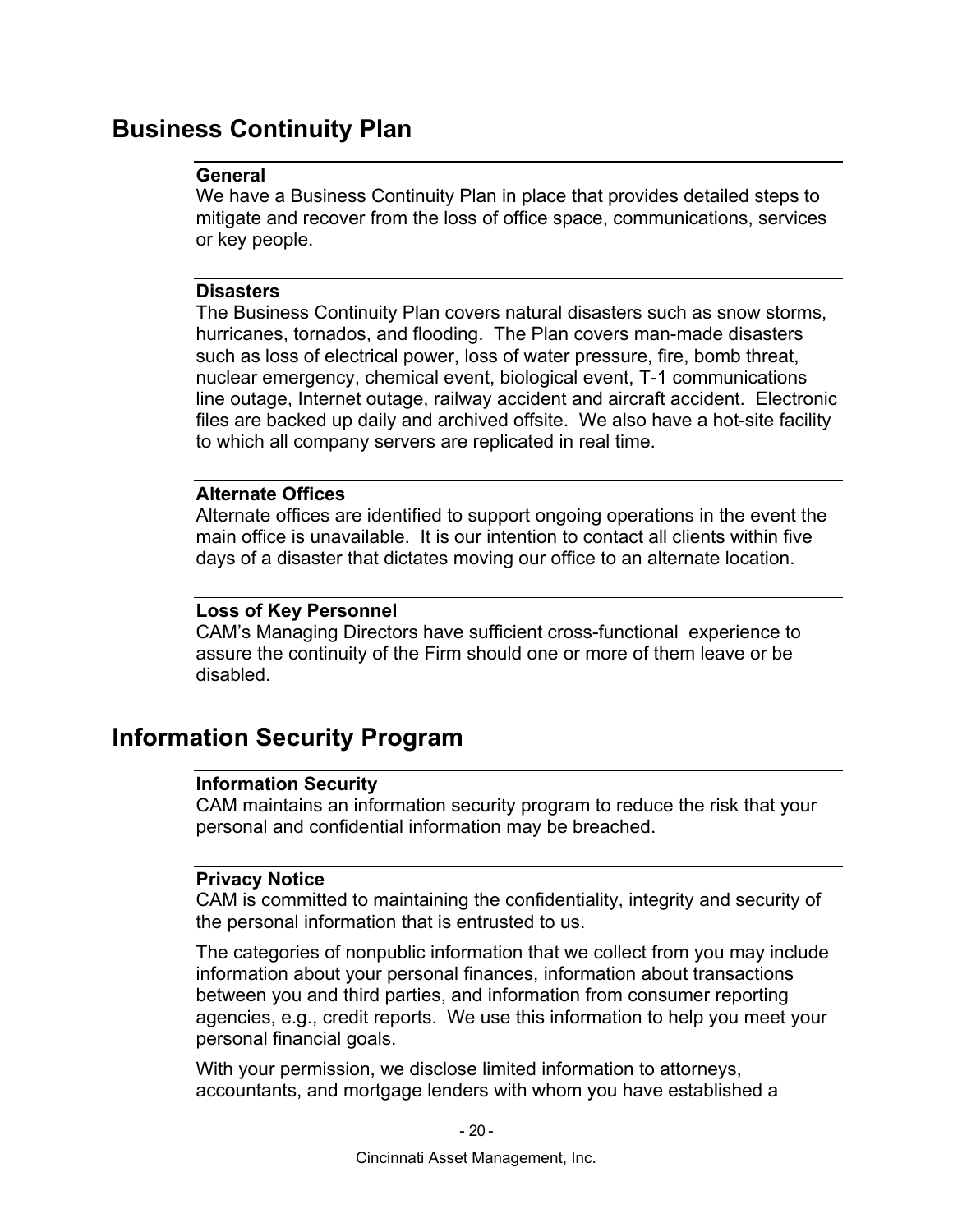## **Business Continuity Plan**

### **General**

We have a Business Continuity Plan in place that provides detailed steps to mitigate and recover from the loss of office space, communications, services or key people.

## **Disasters**

The Business Continuity Plan covers natural disasters such as snow storms, hurricanes, tornados, and flooding. The Plan covers man-made disasters such as loss of electrical power, loss of water pressure, fire, bomb threat, nuclear emergency, chemical event, biological event, T-1 communications line outage, Internet outage, railway accident and aircraft accident. Electronic files are backed up daily and archived offsite. We also have a hot-site facility to which all company servers are replicated in real time.

## **Alternate Offices**

Alternate offices are identified to support ongoing operations in the event the main office is unavailable. It is our intention to contact all clients within five days of a disaster that dictates moving our office to an alternate location.

## **Loss of Key Personnel**

CAM's Managing Directors have sufficient cross-functional experience to assure the continuity of the Firm should one or more of them leave or be disabled.

## **Information Security Program**

## **Information Security**

CAM maintains an information security program to reduce the risk that your personal and confidential information may be breached.

## **Privacy Notice**

CAM is committed to maintaining the confidentiality, integrity and security of the personal information that is entrusted to us.

The categories of nonpublic information that we collect from you may include information about your personal finances, information about transactions between you and third parties, and information from consumer reporting agencies, e.g., credit reports. We use this information to help you meet your personal financial goals.

With your permission, we disclose limited information to attorneys, accountants, and mortgage lenders with whom you have established a

Cincinnati Asset Management, Inc.